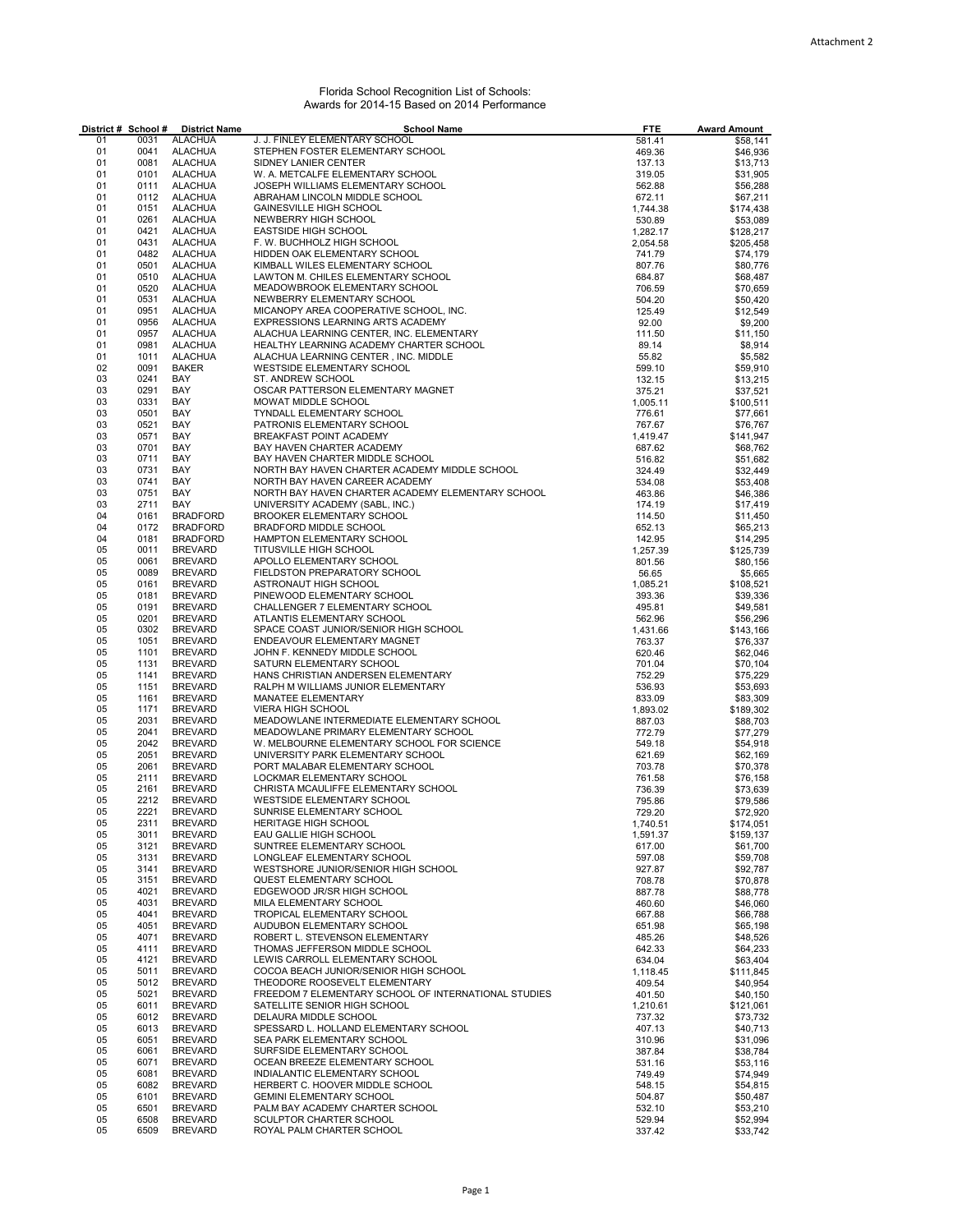## Florida School Recognition List of Schools: Awards for 2014-15 Based on 2014 Performance

|          | District # School # | <b>District Name</b>             | <b>School Name</b>                                                               | <b>FTE</b>       | <b>Award Amount</b>  |
|----------|---------------------|----------------------------------|----------------------------------------------------------------------------------|------------------|----------------------|
| 01       | 0031                | <b>ALACHUA</b>                   | J. J. FINLEY ELEMENTARY SCHOOL                                                   | 581.41           | \$58,141             |
| 01       | 0041                | <b>ALACHUA</b>                   | STEPHEN FOSTER ELEMENTARY SCHOOL                                                 | 469.36           | \$46,936             |
| 01<br>01 | 0081<br>0101        | <b>ALACHUA</b><br><b>ALACHUA</b> | SIDNEY LANIER CENTER<br>W. A. METCALFE ELEMENTARY SCHOOL                         | 137.13<br>319.05 | \$13,713<br>\$31,905 |
| 01       | 0111                | <b>ALACHUA</b>                   | JOSEPH WILLIAMS ELEMENTARY SCHOOL                                                | 562.88           | \$56,288             |
| 01       | 0112                | <b>ALACHUA</b>                   | ABRAHAM LINCOLN MIDDLE SCHOOL                                                    | 672.11           | \$67,211             |
| 01       | 0151                | <b>ALACHUA</b>                   | <b>GAINESVILLE HIGH SCHOOL</b>                                                   | 1.744.38         | \$174,438            |
| 01       | 0261                | <b>ALACHUA</b>                   | NEWBERRY HIGH SCHOOL                                                             | 530.89           | \$53,089             |
| 01       | 0421                | <b>ALACHUA</b>                   | <b>EASTSIDE HIGH SCHOOL</b>                                                      | 1,282.17         | \$128,217            |
| 01       | 0431                | <b>ALACHUA</b>                   | F. W. BUCHHOLZ HIGH SCHOOL                                                       | 2,054.58         | \$205,458            |
| 01<br>01 | 0482<br>0501        | <b>ALACHUA</b><br><b>ALACHUA</b> | HIDDEN OAK ELEMENTARY SCHOOL<br>KIMBALL WILES ELEMENTARY SCHOOL                  | 741.79<br>807.76 | \$74,179<br>\$80,776 |
| 01       | 0510                | <b>ALACHUA</b>                   | LAWTON M. CHILES ELEMENTARY SCHOOL                                               | 684.87           | \$68,487             |
| 01       | 0520                | <b>ALACHUA</b>                   | MEADOWBROOK ELEMENTARY SCHOOL                                                    | 706.59           | \$70,659             |
| 01       | 0531                | <b>ALACHUA</b>                   | NEWBERRY ELEMENTARY SCHOOL                                                       | 504.20           | \$50,420             |
| 01       | 0951                | <b>ALACHUA</b>                   | MICANOPY AREA COOPERATIVE SCHOOL, INC.                                           | 125.49           | \$12,549             |
| 01       | 0956                | <b>ALACHUA</b>                   | EXPRESSIONS LEARNING ARTS ACADEMY                                                | 92.00            | \$9,200              |
| 01       | 0957                | <b>ALACHUA</b>                   | ALACHUA LEARNING CENTER, INC. ELEMENTARY                                         | 111.50           | \$11,150             |
| 01<br>01 | 0981<br>1011        | <b>ALACHUA</b><br><b>ALACHUA</b> | HEALTHY LEARNING ACADEMY CHARTER SCHOOL                                          | 89.14            | \$8,914              |
| 02       | 0091                | <b>BAKER</b>                     | ALACHUA LEARNING CENTER, INC. MIDDLE<br>WESTSIDE ELEMENTARY SCHOOL               | 55.82<br>599.10  | \$5,582<br>\$59,910  |
| 03       | 0241                | BAY                              | ST. ANDREW SCHOOL                                                                | 132.15           | \$13,215             |
| 03       | 0291                | BAY                              | OSCAR PATTERSON ELEMENTARY MAGNET                                                | 375.21           | \$37,521             |
| 03       | 0331                | BAY                              | MOWAT MIDDLE SCHOOL                                                              | 1,005.11         | \$100,511            |
| 03       | 0501                | BAY                              | TYNDALL ELEMENTARY SCHOOL                                                        | 776.61           | \$77,661             |
| 03       | 0521                | BAY                              | PATRONIS ELEMENTARY SCHOOL                                                       | 767.67           | \$76,767             |
| 03       | 0571                | BAY                              | BREAKFAST POINT ACADEMY                                                          | 1,419.47         | \$141,947            |
| 03       | 0701                | BAY                              | BAY HAVEN CHARTER ACADEMY                                                        | 687.62           | \$68,762             |
| 03<br>03 | 0711<br>0731        | BAY<br>BAY                       | BAY HAVEN CHARTER MIDDLE SCHOOL<br>NORTH BAY HAVEN CHARTER ACADEMY MIDDLE SCHOOL | 516.82<br>324.49 | \$51,682<br>\$32,449 |
| 03       | 0741                | BAY                              | NORTH BAY HAVEN CAREER ACADEMY                                                   | 534.08           | \$53,408             |
| 03       | 0751                | BAY                              | NORTH BAY HAVEN CHARTER ACADEMY ELEMENTARY SCHOOL                                | 463.86           | \$46,386             |
| 03       | 2711                | BAY                              | UNIVERSITY ACADEMY (SABL, INC.)                                                  | 174.19           | \$17,419             |
| 04       | 0161                | <b>BRADFORD</b>                  | <b>BROOKER ELEMENTARY SCHOOL</b>                                                 | 114.50           | \$11,450             |
| 04       | 0172                | <b>BRADFORD</b>                  | BRADFORD MIDDLE SCHOOL                                                           | 652.13           | \$65,213             |
| 04       | 0181                | <b>BRADFORD</b>                  | HAMPTON ELEMENTARY SCHOOL                                                        | 142.95           | \$14,295             |
| 05       | 0011<br>0061        | <b>BREVARD</b>                   | TITUSVILLE HIGH SCHOOL                                                           | 1,257.39         | \$125,739            |
| 05<br>05 | 0089                | <b>BREVARD</b><br><b>BREVARD</b> | APOLLO ELEMENTARY SCHOOL<br>FIELDSTON PREPARATORY SCHOOL                         | 801.56<br>56.65  | \$80,156<br>\$5,665  |
| 05       | 0161                | <b>BREVARD</b>                   | ASTRONAUT HIGH SCHOOL                                                            | 1,085.21         | \$108,521            |
| 05       | 0181                | <b>BREVARD</b>                   | PINEWOOD ELEMENTARY SCHOOL                                                       | 393.36           | \$39,336             |
| 05       | 0191                | <b>BREVARD</b>                   | CHALLENGER 7 ELEMENTARY SCHOOL                                                   | 495.81           | \$49,581             |
| 05       | 0201                | <b>BREVARD</b>                   | ATLANTIS ELEMENTARY SCHOOL                                                       | 562.96           | \$56,296             |
| 05       | 0302                | <b>BREVARD</b>                   | SPACE COAST JUNIOR/SENIOR HIGH SCHOOL                                            | 1,431.66         | \$143,166            |
| 05       | 1051                | <b>BREVARD</b>                   | ENDEAVOUR ELEMENTARY MAGNET                                                      | 763.37           | \$76,337             |
| 05       | 1101                | <b>BREVARD</b>                   | JOHN F. KENNEDY MIDDLE SCHOOL                                                    | 620.46           | \$62,046             |
| 05       | 1131                | <b>BREVARD</b>                   | SATURN ELEMENTARY SCHOOL                                                         | 701.04           | \$70,104             |
| 05<br>05 | 1141<br>1151        | <b>BREVARD</b>                   | HANS CHRISTIAN ANDERSEN ELEMENTARY                                               | 752.29           | \$75,229             |
| 05       | 1161                | <b>BREVARD</b><br><b>BREVARD</b> | RALPH M WILLIAMS JUNIOR ELEMENTARY<br>MANATEE ELEMENTARY                         | 536.93<br>833.09 | \$53,693<br>\$83,309 |
| 05       | 1171                | <b>BREVARD</b>                   | <b>VIERA HIGH SCHOOL</b>                                                         | 1,893.02         | \$189,302            |
| 05       | 2031                | <b>BREVARD</b>                   | MEADOWLANE INTERMEDIATE ELEMENTARY SCHOOL                                        | 887.03           | \$88,703             |
| 05       | 2041                | <b>BREVARD</b>                   | MEADOWLANE PRIMARY ELEMENTARY SCHOOL                                             | 772.79           | \$77,279             |
| 05       | 2042                | <b>BREVARD</b>                   | W. MELBOURNE ELEMENTARY SCHOOL FOR SCIENCE                                       | 549.18           | \$54,918             |
| 05       | 2051                | <b>BREVARD</b>                   | UNIVERSITY PARK ELEMENTARY SCHOOL                                                | 621.69           | \$62,169             |
| 05       | 2061                | <b>BREVARD</b>                   | PORT MALABAR ELEMENTARY SCHOOL                                                   | 703.78           | \$70,378             |
| 05       | 2111                | <b>BREVARD</b>                   | LOCKMAR ELEMENTARY SCHOOL                                                        | 761.58           | \$76,158             |
| 05<br>05 | 2161<br>2212        | <b>BREVARD</b><br><b>BREVARD</b> | CHRISTA MCAULIFFE ELEMENTARY SCHOOL<br>WESTSIDE ELEMENTARY SCHOOL                | 736.39<br>795.86 | \$73,639<br>\$79,586 |
| 05       | 2221                | <b>BREVARD</b>                   | SUNRISE ELEMENTARY SCHOOL                                                        | 729.20           | \$72,920             |
| 05       | 2311                | <b>BREVARD</b>                   | HERITAGE HIGH SCHOOL                                                             | 1,740.51         | \$174,051            |
| 05       | 3011                | <b>BREVARD</b>                   | EAU GALLIE HIGH SCHOOL                                                           | 1,591.37         | \$159,137            |
| 05       | 3121                | <b>BREVARD</b>                   | SUNTREE ELEMENTARY SCHOOL                                                        | 617.00           | \$61,700             |
| 05       | 3131                | <b>BREVARD</b>                   | LONGLEAF ELEMENTARY SCHOOL                                                       | 597.08           | \$59,708             |
| 05       | 3141                | <b>BREVARD</b>                   | WESTSHORE JUNIOR/SENIOR HIGH SCHOOL                                              | 927.87           | \$92,787             |
| 05       | 3151                | <b>BREVARD</b>                   | <b>QUEST ELEMENTARY SCHOOL</b>                                                   | 708.78           | \$70,878             |
| 05       | 4021                | <b>BREVARD</b>                   | EDGEWOOD JR/SR HIGH SCHOOL<br>MILA ELEMENTARY SCHOOL                             | 887.78           | \$88,778             |
| 05<br>05 | 4031<br>4041        | <b>BREVARD</b><br><b>BREVARD</b> | TROPICAL ELEMENTARY SCHOOL                                                       | 460.60<br>667.88 | \$46,060<br>\$66,788 |
| 05       | 4051                | <b>BREVARD</b>                   | AUDUBON ELEMENTARY SCHOOL                                                        | 651.98           | \$65,198             |
| 05       | 4071                | <b>BREVARD</b>                   | ROBERT L. STEVENSON ELEMENTARY                                                   | 485.26           | \$48,526             |
| 05       | 4111                | <b>BREVARD</b>                   | THOMAS JEFFERSON MIDDLE SCHOOL                                                   | 642.33           | \$64,233             |
| 05       | 4121                | <b>BREVARD</b>                   | LEWIS CARROLL ELEMENTARY SCHOOL                                                  | 634.04           | \$63,404             |
| 05       | 5011                | <b>BREVARD</b>                   | COCOA BEACH JUNIOR/SENIOR HIGH SCHOOL                                            | 1,118.45         | \$111,845            |
| 05       | 5012                | <b>BREVARD</b>                   | THEODORE ROOSEVELT ELEMENTARY                                                    | 409.54           | \$40,954             |
| 05       | 5021                | <b>BREVARD</b>                   | FREEDOM 7 ELEMENTARY SCHOOL OF INTERNATIONAL STUDIES                             | 401.50           | \$40,150             |
| 05       | 6011                | <b>BREVARD</b>                   | SATELLITE SENIOR HIGH SCHOOL                                                     | 1,210.61         | \$121,061            |
| 05<br>05 | 6012<br>6013        | <b>BREVARD</b><br><b>BREVARD</b> | DELAURA MIDDLE SCHOOL<br>SPESSARD L. HOLLAND ELEMENTARY SCHOOL                   | 737.32<br>407.13 | \$73,732<br>\$40,713 |
| 05       | 6051                | <b>BREVARD</b>                   | SEA PARK ELEMENTARY SCHOOL                                                       | 310.96           | \$31,096             |
| 05       | 6061                | <b>BREVARD</b>                   | SURFSIDE ELEMENTARY SCHOOL                                                       | 387.84           | \$38,784             |
| 05       | 6071                | BREVARD                          | OCEAN BREEZE ELEMENTARY SCHOOL                                                   | 531.16           | \$53,116             |
| 05       | 6081                | <b>BREVARD</b>                   | INDIALANTIC ELEMENTARY SCHOOL                                                    | 749.49           | \$74,949             |
| 05       | 6082                | <b>BREVARD</b>                   | HERBERT C. HOOVER MIDDLE SCHOOL                                                  | 548.15           | \$54,815             |
| 05       | 6101                | <b>BREVARD</b>                   | <b>GEMINI ELEMENTARY SCHOOL</b>                                                  | 504.87           | \$50,487             |
| 05       | 6501                | <b>BREVARD</b>                   | PALM BAY ACADEMY CHARTER SCHOOL                                                  | 532.10           | \$53,210             |
| 05<br>05 | 6508<br>6509        | <b>BREVARD</b><br><b>BREVARD</b> | SCULPTOR CHARTER SCHOOL<br>ROYAL PALM CHARTER SCHOOL                             | 529.94           | \$52,994<br>\$33,742 |
|          |                     |                                  |                                                                                  | 337.42           |                      |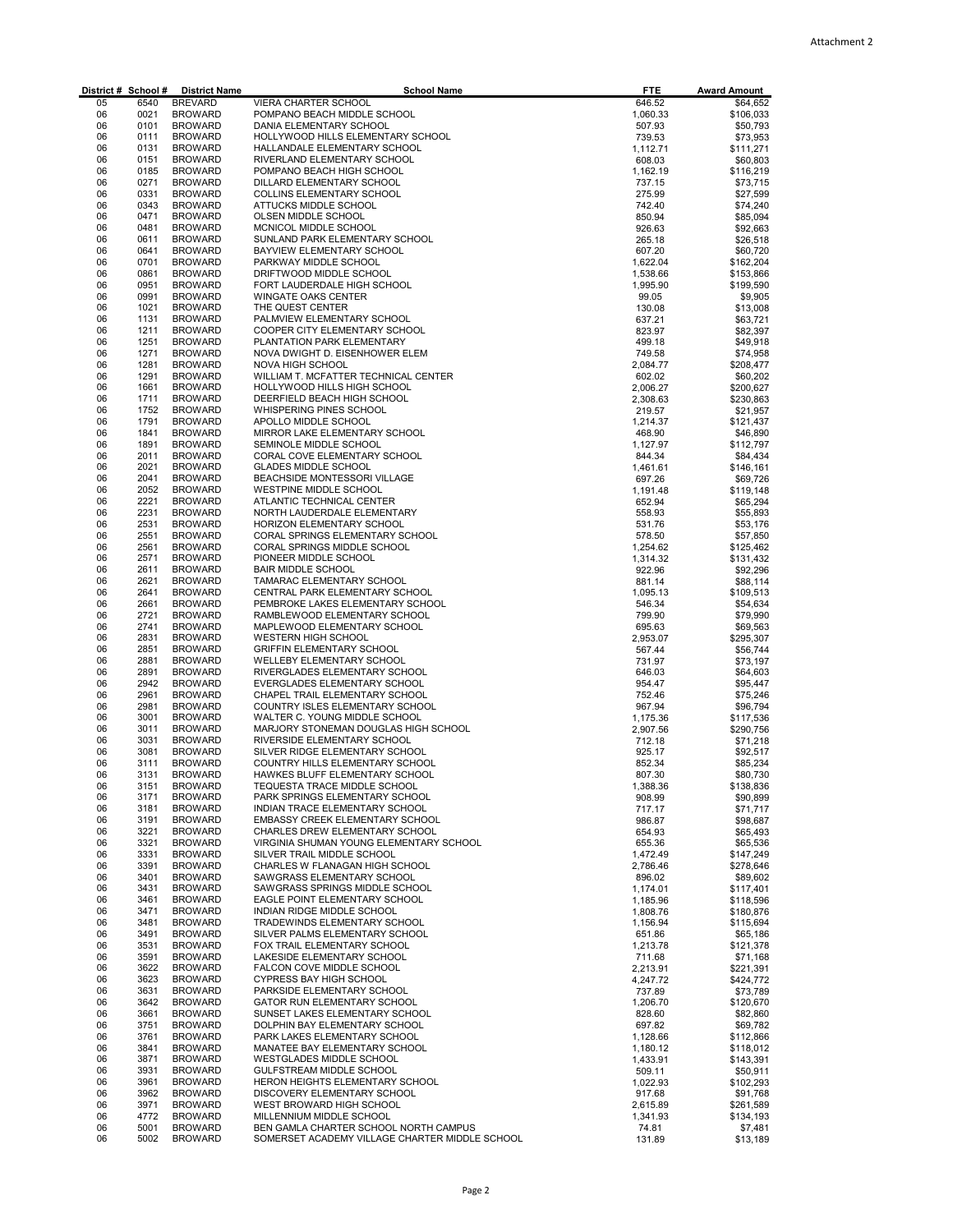| District # School # |              | <b>District Name</b>             | <b>School Name</b>                                               | <b>FTE</b>           | <b>Award Amount</b>    |
|---------------------|--------------|----------------------------------|------------------------------------------------------------------|----------------------|------------------------|
| 05                  | 6540         | <b>BREVARD</b>                   | VIERA CHARTER SCHOOL                                             | 646.52               | \$64,652<br>\$106,033  |
| 06<br>06            | 0021<br>0101 | <b>BROWARD</b><br><b>BROWARD</b> | POMPANO BEACH MIDDLE SCHOOL<br>DANIA ELEMENTARY SCHOOL           | 1,060.33<br>507.93   | \$50,793               |
| 06                  | 0111         | <b>BROWARD</b>                   | HOLLYWOOD HILLS ELEMENTARY SCHOOL                                | 739.53               | \$73,953               |
| 06                  | 0131         | <b>BROWARD</b>                   | HALLANDALE ELEMENTARY SCHOOL                                     | 1,112.71             | \$111,271              |
| 06                  | 0151         | <b>BROWARD</b>                   | RIVERLAND ELEMENTARY SCHOOL                                      | 608.03               | \$60,803               |
| 06                  | 0185         | <b>BROWARD</b>                   | POMPANO BEACH HIGH SCHOOL                                        | 1,162.19             | \$116,219              |
| 06<br>06            | 0271<br>0331 | <b>BROWARD</b><br><b>BROWARD</b> | DILLARD ELEMENTARY SCHOOL<br>COLLINS ELEMENTARY SCHOOL           | 737.15<br>275.99     | \$73,715<br>\$27,599   |
| 06                  | 0343         | <b>BROWARD</b>                   | ATTUCKS MIDDLE SCHOOL                                            | 742.40               | \$74,240               |
| 06                  | 0471         | <b>BROWARD</b>                   | OLSEN MIDDLE SCHOOL                                              | 850.94               | \$85,094               |
| 06                  | 0481         | <b>BROWARD</b>                   | MCNICOL MIDDLE SCHOOL                                            | 926.63               | \$92,663               |
| 06                  | 0611         | <b>BROWARD</b>                   | SUNLAND PARK ELEMENTARY SCHOOL                                   | 265.18               | \$26,518               |
| 06                  | 0641         | <b>BROWARD</b>                   | BAYVIEW ELEMENTARY SCHOOL                                        | 607.20               | \$60,720               |
| 06                  | 0701         | <b>BROWARD</b>                   | PARKWAY MIDDLE SCHOOL<br>DRIFTWOOD MIDDLE SCHOOL                 | 1,622.04             | \$162,204              |
| 06<br>06            | 0861<br>0951 | <b>BROWARD</b><br><b>BROWARD</b> | FORT LAUDERDALE HIGH SCHOOL                                      | 1,538.66<br>1,995.90 | \$153,866<br>\$199,590 |
| 06                  | 0991         | <b>BROWARD</b>                   | WINGATE OAKS CENTER                                              | 99.05                | \$9,905                |
| 06                  | 1021         | <b>BROWARD</b>                   | THE QUEST CENTER                                                 | 130.08               | \$13,008               |
| 06                  | 1131         | <b>BROWARD</b>                   | PALMVIEW ELEMENTARY SCHOOL                                       | 637.21               | \$63,721               |
| 06                  | 1211         | <b>BROWARD</b>                   | COOPER CITY ELEMENTARY SCHOOL                                    | 823.97               | \$82,397               |
| 06                  | 1251         | <b>BROWARD</b>                   | PLANTATION PARK ELEMENTARY                                       | 499.18               | \$49,918               |
| 06<br>06            | 1271<br>1281 | <b>BROWARD</b><br><b>BROWARD</b> | NOVA DWIGHT D. EISENHOWER ELEM<br>NOVA HIGH SCHOOL               | 749.58               | \$74,958               |
| 06                  | 1291         | <b>BROWARD</b>                   | WILLIAM T. MCFATTER TECHNICAL CENTER                             | 2,084.77<br>602.02   | \$208,477<br>\$60,202  |
| 06                  | 1661         | <b>BROWARD</b>                   | HOLLYWOOD HILLS HIGH SCHOOL                                      | 2,006.27             | \$200,627              |
| 06                  | 1711         | <b>BROWARD</b>                   | DEERFIELD BEACH HIGH SCHOOL                                      | 2,308.63             | \$230,863              |
| 06                  | 1752         | <b>BROWARD</b>                   | WHISPERING PINES SCHOOL                                          | 219.57               | \$21,957               |
| 06                  | 1791         | <b>BROWARD</b>                   | APOLLO MIDDLE SCHOOL                                             | 1,214.37             | \$121,437              |
| 06                  | 1841         | <b>BROWARD</b>                   | MIRROR LAKE ELEMENTARY SCHOOL                                    | 468.90               | \$46,890               |
| 06                  | 1891<br>2011 | <b>BROWARD</b>                   | SEMINOLE MIDDLE SCHOOL<br>CORAL COVE ELEMENTARY SCHOOL           | 1,127.97             | \$112,797              |
| 06<br>06            | 2021         | <b>BROWARD</b><br><b>BROWARD</b> | <b>GLADES MIDDLE SCHOOL</b>                                      | 844.34<br>1,461.61   | \$84,434<br>\$146,161  |
| 06                  | 2041         | <b>BROWARD</b>                   | BEACHSIDE MONTESSORI VILLAGE                                     | 697.26               | \$69,726               |
| 06                  | 2052         | <b>BROWARD</b>                   | WESTPINE MIDDLE SCHOOL                                           | 1,191.48             | \$119,148              |
| 06                  | 2221         | <b>BROWARD</b>                   | ATLANTIC TECHNICAL CENTER                                        | 652.94               | \$65,294               |
| 06                  | 2231         | <b>BROWARD</b>                   | NORTH LAUDERDALE ELEMENTARY                                      | 558.93               | \$55,893               |
| 06                  | 2531         | <b>BROWARD</b>                   | HORIZON ELEMENTARY SCHOOL                                        | 531.76               | \$53,176               |
| 06<br>06            | 2551<br>2561 | <b>BROWARD</b><br><b>BROWARD</b> | CORAL SPRINGS ELEMENTARY SCHOOL<br>CORAL SPRINGS MIDDLE SCHOOL   | 578.50               | \$57,850               |
| 06                  | 2571         | <b>BROWARD</b>                   | PIONEER MIDDLE SCHOOL                                            | 1,254.62<br>1,314.32 | \$125,462<br>\$131,432 |
| 06                  | 2611         | <b>BROWARD</b>                   | <b>BAIR MIDDLE SCHOOL</b>                                        | 922.96               | \$92,296               |
| 06                  | 2621         | <b>BROWARD</b>                   | TAMARAC ELEMENTARY SCHOOL                                        | 881.14               | \$88,114               |
| 06                  | 2641         | <b>BROWARD</b>                   | CENTRAL PARK ELEMENTARY SCHOOL                                   | 1,095.13             | \$109,513              |
| 06                  | 2661         | <b>BROWARD</b>                   | PEMBROKE LAKES ELEMENTARY SCHOOL                                 | 546.34               | \$54,634               |
| 06                  | 2721         | <b>BROWARD</b>                   | RAMBLEWOOD ELEMENTARY SCHOOL                                     | 799.90               | \$79,990               |
| 06<br>06            | 2741<br>2831 | <b>BROWARD</b><br><b>BROWARD</b> | MAPLEWOOD ELEMENTARY SCHOOL<br><b>WESTERN HIGH SCHOOL</b>        | 695.63               | \$69,563               |
| 06                  | 2851         | <b>BROWARD</b>                   | <b>GRIFFIN ELEMENTARY SCHOOL</b>                                 | 2,953.07<br>567.44   | \$295,307<br>\$56,744  |
| 06                  | 2881         | <b>BROWARD</b>                   | WELLEBY ELEMENTARY SCHOOL                                        | 731.97               | \$73,197               |
| 06                  | 2891         | <b>BROWARD</b>                   | RIVERGLADES ELEMENTARY SCHOOL                                    | 646.03               | \$64,603               |
| 06                  | 2942         | <b>BROWARD</b>                   | EVERGLADES ELEMENTARY SCHOOL                                     | 954.47               | \$95,447               |
| 06                  | 2961         | <b>BROWARD</b>                   | CHAPEL TRAIL ELEMENTARY SCHOOL                                   | 752.46               | \$75,246               |
| 06<br>06            | 2981<br>3001 | <b>BROWARD</b>                   | COUNTRY ISLES ELEMENTARY SCHOOL<br>WALTER C. YOUNG MIDDLE SCHOOL | 967.94               | \$96,794               |
| 06                  | 3011         | <b>BROWARD</b><br><b>BROWARD</b> | MARJORY STONEMAN DOUGLAS HIGH SCHOOL                             | 1,175.36<br>2,907.56 | \$117,536<br>\$290,756 |
| 06                  | 3031         | <b>BROWARD</b>                   | RIVERSIDE ELEMENTARY SCHOOL                                      | 712.18               | \$71,218               |
| 06                  | 3081         | <b>BROWARD</b>                   | SILVER RIDGE ELEMENTARY SCHOOL                                   | 925.17               | \$92,517               |
| 06                  | 3111         | <b>BROWARD</b>                   | COUNTRY HILLS ELEMENTARY SCHOOL                                  | 852.34               | \$85,234               |
| 06                  | 3131         | <b>BROWARD</b>                   | HAWKES BLUFF ELEMENTARY SCHOOL                                   | 807.30               | \$80,730               |
| 06                  | 3151         | <b>BROWARD</b>                   | TEQUESTA TRACE MIDDLE SCHOOL                                     | 1,388.36             | \$138,836              |
| 06<br>06            | 3171<br>3181 | <b>BROWARD</b><br><b>BROWARD</b> | PARK SPRINGS ELEMENTARY SCHOOL<br>INDIAN TRACE ELEMENTARY SCHOOL | 908.99<br>717.17     | \$90,899<br>\$71,717   |
| 06                  | 3191         | <b>BROWARD</b>                   | EMBASSY CREEK ELEMENTARY SCHOOL                                  | 986.87               | \$98,687               |
| 06                  | 3221         | <b>BROWARD</b>                   | CHARLES DREW ELEMENTARY SCHOOL                                   | 654.93               | \$65,493               |
| 06                  | 3321         | <b>BROWARD</b>                   | VIRGINIA SHUMAN YOUNG ELEMENTARY SCHOOL                          | 655.36               | \$65,536               |
| 06                  | 3331         | <b>BROWARD</b>                   | SILVER TRAIL MIDDLE SCHOOL                                       | 1,472.49             | \$147,249              |
| 06                  | 3391         | <b>BROWARD</b>                   | CHARLES W FLANAGAN HIGH SCHOOL                                   | 2,786.46             | \$278,646              |
| 06                  | 3401         | <b>BROWARD</b>                   | SAWGRASS ELEMENTARY SCHOOL                                       | 896.02               | \$89,602               |
| 06<br>06            | 3431<br>3461 | <b>BROWARD</b><br><b>BROWARD</b> | SAWGRASS SPRINGS MIDDLE SCHOOL<br>EAGLE POINT ELEMENTARY SCHOOL  | 1,174.01<br>1,185.96 | \$117,401<br>\$118,596 |
| 06                  | 3471         | <b>BROWARD</b>                   | INDIAN RIDGE MIDDLE SCHOOL                                       | 1,808.76             | \$180,876              |
| 06                  | 3481         | <b>BROWARD</b>                   | TRADEWINDS ELEMENTARY SCHOOL                                     | 1,156.94             | \$115,694              |
| 06                  | 3491         | <b>BROWARD</b>                   | SILVER PALMS ELEMENTARY SCHOOL                                   | 651.86               | \$65,186               |
| 06                  | 3531         | <b>BROWARD</b>                   | FOX TRAIL ELEMENTARY SCHOOL                                      | 1,213.78             | \$121,378              |
| 06                  | 3591         | <b>BROWARD</b>                   | LAKESIDE ELEMENTARY SCHOOL                                       | 711.68               | \$71,168               |
| 06                  | 3622         | <b>BROWARD</b>                   | FALCON COVE MIDDLE SCHOOL<br><b>CYPRESS BAY HIGH SCHOOL</b>      | 2,213.91             | \$221,391              |
| 06<br>06            | 3623<br>3631 | <b>BROWARD</b><br><b>BROWARD</b> | PARKSIDE ELEMENTARY SCHOOL                                       | 4,247.72<br>737.89   | \$424,772<br>\$73,789  |
| 06                  | 3642         | <b>BROWARD</b>                   | GATOR RUN ELEMENTARY SCHOOL                                      | 1,206.70             | \$120,670              |
| 06                  | 3661         | <b>BROWARD</b>                   | SUNSET LAKES ELEMENTARY SCHOOL                                   | 828.60               | \$82,860               |
| 06                  | 3751         | <b>BROWARD</b>                   | DOLPHIN BAY ELEMENTARY SCHOOL                                    | 697.82               | \$69,782               |
| 06                  | 3761         | <b>BROWARD</b>                   | PARK LAKES ELEMENTARY SCHOOL                                     | 1,128.66             | \$112,866              |
| 06                  | 3841         | <b>BROWARD</b>                   | MANATEE BAY ELEMENTARY SCHOOL                                    | 1,180.12             | \$118,012              |
| 06                  | 3871         | <b>BROWARD</b>                   | WESTGLADES MIDDLE SCHOOL                                         | 1,433.91             | \$143,391              |
| 06<br>06            | 3931<br>3961 | <b>BROWARD</b><br><b>BROWARD</b> | GULFSTREAM MIDDLE SCHOOL<br>HERON HEIGHTS ELEMENTARY SCHOOL      | 509.11<br>1,022.93   | \$50,911<br>\$102,293  |
| 06                  | 3962         | <b>BROWARD</b>                   | DISCOVERY ELEMENTARY SCHOOL                                      | 917.68               | \$91,768               |
| 06                  | 3971         | <b>BROWARD</b>                   | WEST BROWARD HIGH SCHOOL                                         | 2,615.89             | \$261,589              |
| 06                  | 4772         | <b>BROWARD</b>                   | MILLENNIUM MIDDLE SCHOOL                                         | 1,341.93             | \$134,193              |
| 06                  | 5001         | <b>BROWARD</b>                   | BEN GAMLA CHARTER SCHOOL NORTH CAMPUS                            | 74.81                | \$7,481                |
| 06                  | 5002         | <b>BROWARD</b>                   | SOMERSET ACADEMY VILLAGE CHARTER MIDDLE SCHOOL                   | 131.89               | \$13,189               |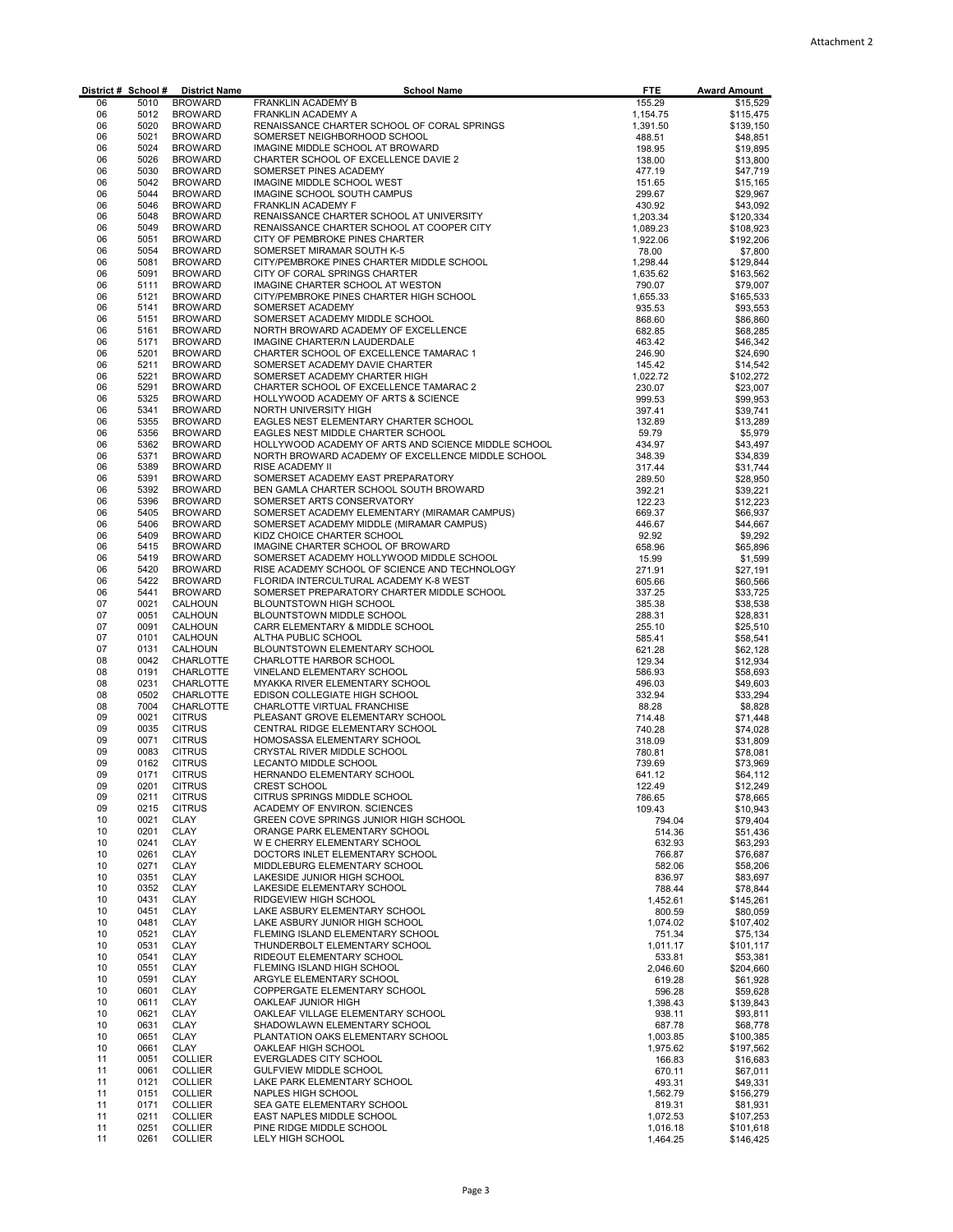| District # School # |              | <b>District Name</b>             | <b>School Name</b>                                                                   | <b>FTE</b>           | <b>Award Amount</b>    |
|---------------------|--------------|----------------------------------|--------------------------------------------------------------------------------------|----------------------|------------------------|
| 06<br>06            | 5010<br>5012 | <b>BROWARD</b>                   | FRANKLIN ACADEMY B                                                                   | 155.29               | \$15,529               |
| 06                  | 5020         | <b>BROWARD</b><br><b>BROWARD</b> | FRANKLIN ACADEMY A<br>RENAISSANCE CHARTER SCHOOL OF CORAL SPRINGS                    | 1,154.75<br>1,391.50 | \$115,475<br>\$139,150 |
| 06                  | 5021         | <b>BROWARD</b>                   | SOMERSET NEIGHBORHOOD SCHOOL                                                         | 488.51               | \$48,851               |
| 06                  | 5024         | <b>BROWARD</b>                   | IMAGINE MIDDLE SCHOOL AT BROWARD                                                     | 198.95               | \$19,895               |
| 06                  | 5026         | <b>BROWARD</b>                   | CHARTER SCHOOL OF EXCELLENCE DAVIE 2                                                 | 138.00               | \$13,800               |
| 06<br>06            | 5030<br>5042 | <b>BROWARD</b>                   | SOMERSET PINES ACADEMY<br>IMAGINE MIDDLE SCHOOL WEST                                 | 477.19               | \$47,719               |
| 06                  | 5044         | <b>BROWARD</b><br><b>BROWARD</b> | IMAGINE SCHOOL SOUTH CAMPUS                                                          | 151.65<br>299.67     | \$15,165<br>\$29,967   |
| 06                  | 5046         | <b>BROWARD</b>                   | FRANKLIN ACADEMY F                                                                   | 430.92               | \$43,092               |
| 06                  | 5048         | <b>BROWARD</b>                   | RENAISSANCE CHARTER SCHOOL AT UNIVERSITY                                             | 1,203.34             | \$120,334              |
| 06                  | 5049         | <b>BROWARD</b>                   | RENAISSANCE CHARTER SCHOOL AT COOPER CITY                                            | 1,089.23             | \$108,923              |
| 06                  | 5051         | <b>BROWARD</b>                   | CITY OF PEMBROKE PINES CHARTER                                                       | 1,922.06             | \$192,206              |
| 06<br>06            | 5054<br>5081 | <b>BROWARD</b><br><b>BROWARD</b> | SOMERSET MIRAMAR SOUTH K-5<br>CITY/PEMBROKE PINES CHARTER MIDDLE SCHOOL              | 78.00<br>1,298.44    | \$7,800<br>\$129,844   |
| 06                  | 5091         | <b>BROWARD</b>                   | CITY OF CORAL SPRINGS CHARTER                                                        | 1,635.62             | \$163,562              |
| 06                  | 5111         | <b>BROWARD</b>                   | IMAGINE CHARTER SCHOOL AT WESTON                                                     | 790.07               | \$79,007               |
| 06                  | 5121         | <b>BROWARD</b>                   | CITY/PEMBROKE PINES CHARTER HIGH SCHOOL                                              | 1,655.33             | \$165,533              |
| 06                  | 5141         | <b>BROWARD</b>                   | SOMERSET ACADEMY                                                                     | 935.53               | \$93,553               |
| 06                  | 5151         | <b>BROWARD</b>                   | SOMERSET ACADEMY MIDDLE SCHOOL                                                       | 868.60               | \$86,860               |
| 06<br>06            | 5161<br>5171 | <b>BROWARD</b><br><b>BROWARD</b> | NORTH BROWARD ACADEMY OF EXCELLENCE<br>IMAGINE CHARTER/N LAUDERDALE                  | 682.85               | \$68,285               |
| 06                  | 5201         | <b>BROWARD</b>                   | CHARTER SCHOOL OF EXCELLENCE TAMARAC 1                                               | 463.42<br>246.90     | \$46,342<br>\$24,690   |
| 06                  | 5211         | <b>BROWARD</b>                   | SOMERSET ACADEMY DAVIE CHARTER                                                       | 145.42               | \$14,542               |
| 06                  | 5221         | <b>BROWARD</b>                   | SOMERSET ACADEMY CHARTER HIGH                                                        | 1,022.72             | \$102,272              |
| 06                  | 5291         | <b>BROWARD</b>                   | CHARTER SCHOOL OF EXCELLENCE TAMARAC 2                                               | 230.07               | \$23,007               |
| 06                  | 5325         | <b>BROWARD</b>                   | HOLLYWOOD ACADEMY OF ARTS & SCIENCE                                                  | 999.53               | \$99,953               |
| 06                  | 5341<br>5355 | <b>BROWARD</b>                   | NORTH UNIVERSITY HIGH                                                                | 397.41               | \$39,741               |
| 06<br>06            | 5356         | <b>BROWARD</b><br><b>BROWARD</b> | EAGLES NEST ELEMENTARY CHARTER SCHOOL<br>EAGLES NEST MIDDLE CHARTER SCHOOL           | 132.89<br>59.79      | \$13,289<br>\$5,979    |
| 06                  | 5362         | <b>BROWARD</b>                   | HOLLYWOOD ACADEMY OF ARTS AND SCIENCE MIDDLE SCHOOL                                  | 434.97               | \$43,497               |
| 06                  | 5371         | <b>BROWARD</b>                   | NORTH BROWARD ACADEMY OF EXCELLENCE MIDDLE SCHOOL                                    | 348.39               | \$34,839               |
| 06                  | 5389         | <b>BROWARD</b>                   | <b>RISE ACADEMY II</b>                                                               | 317.44               | \$31,744               |
| 06                  | 5391         | <b>BROWARD</b>                   | SOMERSET ACADEMY EAST PREPARATORY                                                    | 289.50               | \$28,950               |
| 06                  | 5392         | <b>BROWARD</b>                   | BEN GAMLA CHARTER SCHOOL SOUTH BROWARD                                               | 392.21               | \$39,221               |
| 06<br>06            | 5396<br>5405 | <b>BROWARD</b><br><b>BROWARD</b> | SOMERSET ARTS CONSERVATORY<br>SOMERSET ACADEMY ELEMENTARY (MIRAMAR CAMPUS)           | 122.23<br>669.37     | \$12,223<br>\$66,937   |
| 06                  | 5406         | <b>BROWARD</b>                   | SOMERSET ACADEMY MIDDLE (MIRAMAR CAMPUS)                                             | 446.67               | \$44,667               |
| 06                  | 5409         | <b>BROWARD</b>                   | KIDZ CHOICE CHARTER SCHOOL                                                           | 92.92                | \$9,292                |
| 06                  | 5415         | <b>BROWARD</b>                   | IMAGINE CHARTER SCHOOL OF BROWARD                                                    | 658.96               | \$65,896               |
| 06                  | 5419         | <b>BROWARD</b>                   | SOMERSET ACADEMY HOLLYWOOD MIDDLE SCHOOL                                             | 15.99                | \$1,599                |
| 06                  | 5420         | <b>BROWARD</b>                   | RISE ACADEMY SCHOOL OF SCIENCE AND TECHNOLOGY                                        | 271.91               | \$27,191               |
| 06<br>06            | 5422<br>5441 | <b>BROWARD</b><br><b>BROWARD</b> | FLORIDA INTERCULTURAL ACADEMY K-8 WEST<br>SOMERSET PREPARATORY CHARTER MIDDLE SCHOOL | 605.66               | \$60,566               |
| 07                  | 0021         | CALHOUN                          | BLOUNTSTOWN HIGH SCHOOL                                                              | 337.25<br>385.38     | \$33,725<br>\$38,538   |
| 07                  | 0051         | CALHOUN                          | BLOUNTSTOWN MIDDLE SCHOOL                                                            | 288.31               | \$28,831               |
| 07                  | 0091         | CALHOUN                          | CARR ELEMENTARY & MIDDLE SCHOOL                                                      | 255.10               | \$25,510               |
| 07                  | 0101         | CALHOUN                          | ALTHA PUBLIC SCHOOL                                                                  | 585.41               | \$58,541               |
| 07                  | 0131         | CALHOUN                          | BLOUNTSTOWN ELEMENTARY SCHOOL                                                        | 621.28               | \$62,128               |
| 08<br>08            | 0042<br>0191 | CHARLOTTE<br>CHARLOTTE           | CHARLOTTE HARBOR SCHOOL<br>VINELAND ELEMENTARY SCHOOL                                | 129.34<br>586.93     | \$12,934<br>\$58,693   |
| 08                  | 0231         | CHARLOTTE                        | MYAKKA RIVER ELEMENTARY SCHOOL                                                       | 496.03               | \$49,603               |
| 08                  | 0502         | CHARLOTTE                        | EDISON COLLEGIATE HIGH SCHOOL                                                        | 332.94               | \$33,294               |
| 08                  | 7004         | CHARLOTTE                        | CHARLOTTE VIRTUAL FRANCHISE                                                          | 88.28                | \$8,828                |
| 09                  | 0021         | <b>CITRUS</b>                    | PLEASANT GROVE ELEMENTARY SCHOOL                                                     | 714.48               | \$71,448               |
| 09                  | 0035         | <b>CITRUS</b>                    | CENTRAL RIDGE ELEMENTARY SCHOOL                                                      | 740.28               | \$74,028               |
| 09<br>09            | 0071<br>0083 | <b>CITRUS</b><br><b>CITRUS</b>   | HOMOSASSA ELEMENTARY SCHOOL<br>CRYSTAL RIVER MIDDLE SCHOOL                           | 318.09<br>780.81     | \$31.809<br>\$78,081   |
| 09                  | 0162         | <b>CITRUS</b>                    | LECANTO MIDDLE SCHOOL                                                                | 739.69               | \$73,969               |
| 09                  | 0171         | <b>CITRUS</b>                    | HERNANDO ELEMENTARY SCHOOL                                                           | 641.12               | \$64,112               |
| 09                  | 0201         | <b>CITRUS</b>                    | CREST SCHOOL                                                                         | 122.49               | \$12,249               |
| 09                  | 0211         | <b>CITRUS</b>                    | CITRUS SPRINGS MIDDLE SCHOOL                                                         | 786.65               | \$78,665               |
| 09                  | 0215         | <b>CITRUS</b>                    | ACADEMY OF ENVIRON. SCIENCES<br>GREEN COVE SPRINGS JUNIOR HIGH SCHOOL                | 109.43               | \$10,943               |
| 10<br>10            | 0021<br>0201 | CLAY<br>CLAY                     | ORANGE PARK ELEMENTARY SCHOOL                                                        | 794.04<br>514.36     | \$79,404<br>\$51,436   |
| 10                  | 0241         | <b>CLAY</b>                      | W E CHERRY ELEMENTARY SCHOOL                                                         | 632.93               | \$63.293               |
| 10                  | 0261         | CLAY                             | DOCTORS INLET ELEMENTARY SCHOOL                                                      | 766.87               | \$76,687               |
| 10                  | 0271         | <b>CLAY</b>                      | MIDDLEBURG ELEMENTARY SCHOOL                                                         | 582.06               | \$58,206               |
| 10                  | 0351         | CLAY                             | LAKESIDE JUNIOR HIGH SCHOOL                                                          | 836.97               | \$83,697               |
| 10                  | 0352         | CLAY                             | LAKESIDE ELEMENTARY SCHOOL                                                           | 788.44               | \$78,844               |
| 10<br>10            | 0431<br>0451 | CLAY<br>CLAY                     | RIDGEVIEW HIGH SCHOOL<br>LAKE ASBURY ELEMENTARY SCHOOL                               | 1,452.61<br>800.59   | \$145,261<br>\$80,059  |
| 10                  | 0481         | <b>CLAY</b>                      | LAKE ASBURY JUNIOR HIGH SCHOOL                                                       | 1,074.02             | \$107,402              |
| 10                  | 0521         | CLAY                             | FLEMING ISLAND ELEMENTARY SCHOOL                                                     | 751.34               | \$75.134               |
| 10                  | 0531         | <b>CLAY</b>                      | THUNDERBOLT ELEMENTARY SCHOOL                                                        | 1,011.17             | \$101,117              |
| 10                  | 0541         | CLAY                             | RIDEOUT ELEMENTARY SCHOOL                                                            | 533.81               | \$53,381               |
| 10                  | 0551         | <b>CLAY</b>                      | FLEMING ISLAND HIGH SCHOOL                                                           | 2,046.60             | \$204,660              |
| 10<br>10            | 0591<br>0601 | CLAY<br>CLAY                     | ARGYLE ELEMENTARY SCHOOL<br>COPPERGATE ELEMENTARY SCHOOL                             | 619.28<br>596.28     | \$61,928<br>\$59,628   |
| 10                  | 0611         | CLAY                             | OAKLEAF JUNIOR HIGH                                                                  | 1,398.43             | \$139,843              |
| 10                  | 0621         | CLAY                             | OAKLEAF VILLAGE ELEMENTARY SCHOOL                                                    | 938.11               | \$93,811               |
| 10                  | 0631         | <b>CLAY</b>                      | SHADOWLAWN ELEMENTARY SCHOOL                                                         | 687.78               | \$68,778               |
| 10                  | 0651         | <b>CLAY</b>                      | PLANTATION OAKS ELEMENTARY SCHOOL                                                    | 1,003.85             | \$100,385              |
| 10                  | 0661         | CLAY                             | OAKLEAF HIGH SCHOOL                                                                  | 1,975.62             | \$197,562              |
| 11<br>11            | 0051<br>0061 | <b>COLLIER</b><br><b>COLLIER</b> | EVERGLADES CITY SCHOOL<br>GULFVIEW MIDDLE SCHOOL                                     | 166.83               | \$16,683               |
| 11                  | 0121         | <b>COLLIER</b>                   | LAKE PARK ELEMENTARY SCHOOL                                                          | 670.11<br>493.31     | \$67,011<br>\$49,331   |
| 11                  | 0151         | <b>COLLIER</b>                   | NAPLES HIGH SCHOOL                                                                   | 1,562.79             | \$156,279              |
| 11                  | 0171         | <b>COLLIER</b>                   | SEA GATE ELEMENTARY SCHOOL                                                           | 819.31               | \$81,931               |
| 11                  | 0211         | <b>COLLIER</b>                   | EAST NAPLES MIDDLE SCHOOL                                                            | 1,072.53             | \$107,253              |
| 11                  | 0251         | <b>COLLIER</b>                   | PINE RIDGE MIDDLE SCHOOL                                                             | 1,016.18             | \$101,618              |
| 11                  | 0261         | <b>COLLIER</b>                   | LELY HIGH SCHOOL                                                                     | 1,464.25             | \$146,425              |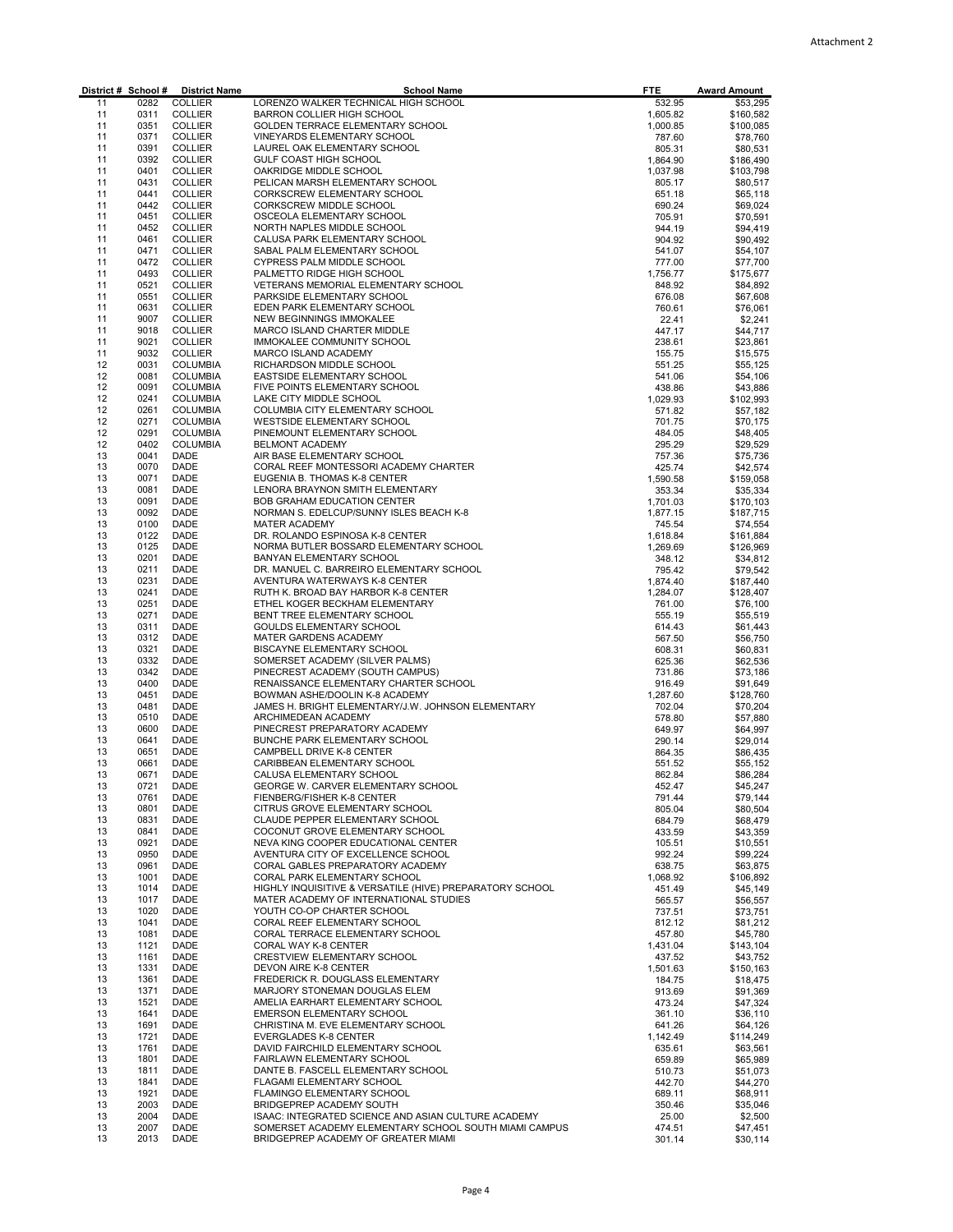|          |              | District # School # District Name  | <b>School Name</b>                                                                                           | <b>FTE</b>           | <b>Award Amount</b>    |
|----------|--------------|------------------------------------|--------------------------------------------------------------------------------------------------------------|----------------------|------------------------|
| 11       | 0282         | <b>COLLIER</b>                     | LORENZO WALKER TECHNICAL HIGH SCHOOL                                                                         | 532.95               | \$53,295               |
| 11       | 0311         | <b>COLLIER</b>                     | BARRON COLLIER HIGH SCHOOL                                                                                   | 1,605.82             | \$160,582              |
| 11       | 0351         | <b>COLLIER</b>                     | GOLDEN TERRACE ELEMENTARY SCHOOL                                                                             | 1,000.85             | \$100,085              |
| 11<br>11 | 0371<br>0391 | <b>COLLIER</b><br><b>COLLIER</b>   | VINEYARDS ELEMENTARY SCHOOL<br>LAUREL OAK ELEMENTARY SCHOOL                                                  | 787.60               | \$78,760               |
| 11       | 0392         | <b>COLLIER</b>                     | GULF COAST HIGH SCHOOL                                                                                       | 805.31<br>1,864.90   | \$80,531<br>\$186,490  |
| 11       | 0401         | <b>COLLIER</b>                     | OAKRIDGE MIDDLE SCHOOL                                                                                       | 1,037.98             | \$103,798              |
| 11       | 0431         | <b>COLLIER</b>                     | PELICAN MARSH ELEMENTARY SCHOOL                                                                              | 805.17               | \$80,517               |
| 11       | 0441         | <b>COLLIER</b>                     | CORKSCREW ELEMENTARY SCHOOL                                                                                  | 651.18               | \$65.118               |
| 11       | 0442         | <b>COLLIER</b>                     | CORKSCREW MIDDLE SCHOOL                                                                                      | 690.24               | \$69,024               |
| 11       | 0451         | <b>COLLIER</b>                     | OSCEOLA ELEMENTARY SCHOOL                                                                                    | 705.91               | \$70,591               |
| 11       | 0452         | <b>COLLIER</b>                     | NORTH NAPLES MIDDLE SCHOOL                                                                                   | 944.19               | \$94,419               |
| 11<br>11 | 0461<br>0471 | <b>COLLIER</b><br>COLLIER          | CALUSA PARK ELEMENTARY SCHOOL<br>SABAL PALM ELEMENTARY SCHOOL                                                | 904.92<br>541.07     | \$90,492<br>\$54,107   |
| 11       | 0472         | <b>COLLIER</b>                     | CYPRESS PALM MIDDLE SCHOOL                                                                                   | 777.00               | \$77,700               |
| 11       | 0493         | <b>COLLIER</b>                     | PALMETTO RIDGE HIGH SCHOOL                                                                                   | 1,756.77             | \$175,677              |
| 11       | 0521         | <b>COLLIER</b>                     | VETERANS MEMORIAL ELEMENTARY SCHOOL                                                                          | 848.92               | \$84,892               |
| 11       | 0551         | <b>COLLIER</b>                     | PARKSIDE ELEMENTARY SCHOOL                                                                                   | 676.08               | \$67,608               |
| 11       | 0631         | <b>COLLIER</b>                     | EDEN PARK ELEMENTARY SCHOOL                                                                                  | 760.61               | \$76,061               |
| 11       | 9007         | <b>COLLIER</b>                     | NEW BEGINNINGS IMMOKALEE                                                                                     | 22.41                | \$2,241                |
| 11<br>11 | 9018<br>9021 | <b>COLLIER</b><br><b>COLLIER</b>   | MARCO ISLAND CHARTER MIDDLE<br>IMMOKALEE COMMUNITY SCHOOL                                                    | 447.17<br>238.61     | \$44,717<br>\$23,861   |
| 11       | 9032         | COLLIER                            | MARCO ISLAND ACADEMY                                                                                         | 155.75               | \$15,575               |
| 12       | 0031         | <b>COLUMBIA</b>                    | RICHARDSON MIDDLE SCHOOL                                                                                     | 551.25               | \$55,125               |
| 12       | 0081         | <b>COLUMBIA</b>                    | EASTSIDE ELEMENTARY SCHOOL                                                                                   | 541.06               | \$54,106               |
| 12       | 0091         | <b>COLUMBIA</b>                    | FIVE POINTS ELEMENTARY SCHOOL                                                                                | 438.86               | \$43,886               |
| 12       | 0241         | <b>COLUMBIA</b>                    | LAKE CITY MIDDLE SCHOOL                                                                                      | 1,029.93             | \$102,993              |
| 12       | 0261         | <b>COLUMBIA</b>                    | COLUMBIA CITY ELEMENTARY SCHOOL                                                                              | 571.82               | \$57,182               |
| 12       | 0271<br>0291 | <b>COLUMBIA</b>                    | WESTSIDE ELEMENTARY SCHOOL                                                                                   | 701.75               | \$70,175               |
| 12<br>12 | 0402         | <b>COLUMBIA</b><br><b>COLUMBIA</b> | PINEMOUNT ELEMENTARY SCHOOL<br><b>BELMONT ACADEMY</b>                                                        | 484.05<br>295.29     | \$48,405<br>\$29,529   |
| 13       | 0041         | DADE                               | AIR BASE ELEMENTARY SCHOOL                                                                                   | 757.36               | \$75,736               |
| 13       | 0070         | DADE                               | CORAL REEF MONTESSORI ACADEMY CHARTER                                                                        | 425.74               | \$42,574               |
| 13       | 0071         | DADE                               | EUGENIA B. THOMAS K-8 CENTER                                                                                 | 1,590.58             | \$159,058              |
| 13       | 0081         | DADE                               | LENORA BRAYNON SMITH ELEMENTARY                                                                              | 353.34               | \$35,334               |
| 13       | 0091         | DADE                               | BOB GRAHAM EDUCATION CENTER                                                                                  | 1,701.03             | \$170,103              |
| 13       | 0092         | DADE                               | NORMAN S. EDELCUP/SUNNY ISLES BEACH K-8                                                                      | 1,877.15             | \$187,715              |
| 13       | 0100         | DADE                               | <b>MATER ACADEMY</b>                                                                                         | 745.54               | \$74,554               |
| 13<br>13 | 0122<br>0125 | DADE<br>DADE                       | DR. ROLANDO ESPINOSA K-8 CENTER<br>NORMA BUTLER BOSSARD ELEMENTARY SCHOOL                                    | 1,618.84<br>1,269.69 | \$161,884<br>\$126,969 |
| 13       | 0201         | DADE                               | BANYAN ELEMENTARY SCHOOL                                                                                     | 348.12               | \$34,812               |
| 13       | 0211         | DADE                               | DR. MANUEL C. BARREIRO ELEMENTARY SCHOOL                                                                     | 795.42               | \$79,542               |
| 13       | 0231         | DADE                               | AVENTURA WATERWAYS K-8 CENTER                                                                                | 1,874.40             | \$187,440              |
| 13       | 0241         | DADE                               | RUTH K. BROAD BAY HARBOR K-8 CENTER                                                                          | 1,284.07             | \$128,407              |
| 13       | 0251         | DADE                               | ETHEL KOGER BECKHAM ELEMENTARY                                                                               | 761.00               | \$76,100               |
| 13       | 0271         | DADE                               | BENT TREE ELEMENTARY SCHOOL                                                                                  | 555.19               | \$55,519               |
| 13<br>13 | 0311<br>0312 | DADE<br>DADE                       | GOULDS ELEMENTARY SCHOOL<br>MATER GARDENS ACADEMY                                                            | 614.43<br>567.50     | \$61,443<br>\$56,750   |
| 13       | 0321         | DADE                               | BISCAYNE ELEMENTARY SCHOOL                                                                                   | 608.31               | \$60,831               |
| 13       | 0332         | DADE                               | SOMERSET ACADEMY (SILVER PALMS)                                                                              | 625.36               | \$62,536               |
| 13       | 0342         | DADE                               | PINECREST ACADEMY (SOUTH CAMPUS)                                                                             | 731.86               | \$73,186               |
| 13       | 0400         | DADE                               | RENAISSANCE ELEMENTARY CHARTER SCHOOL                                                                        | 916.49               | \$91,649               |
| 13       | 0451         | DADE                               | BOWMAN ASHE/DOOLIN K-8 ACADEMY                                                                               | 1,287.60             | \$128,760              |
| 13       | 0481         | DADE                               | JAMES H. BRIGHT ELEMENTARY/J.W. JOHNSON ELEMENTARY                                                           | 702.04               | \$70,204               |
| 13<br>13 | 0510<br>0600 | DADE<br>DADE                       | ARCHIMEDEAN ACADEMY<br>PINECREST PREPARATORY ACADEMY                                                         | 578.80<br>649.97     | \$57,880               |
| 13       | 0641         | DADE                               | BUNCHE PARK ELEMENTARY SCHOOL                                                                                | 290.14               | \$64,997<br>\$29,014   |
| 13       | 0651         | <b>DADE</b>                        | CAMPBELL DRIVE K-8 CENTER                                                                                    | 864.35               | \$86,435               |
| 13       | 0661         | DADE                               | CARIBBEAN ELEMENTARY SCHOOL                                                                                  | 551.52               | \$55,152               |
| 13       | 0671         | DADE                               | CALUSA ELEMENTARY SCHOOL                                                                                     | 862.84               | \$86,284               |
| 13       | 0721         | DADE                               | GEORGE W. CARVER ELEMENTARY SCHOOL                                                                           | 452.47               | \$45,247               |
| 13       | 0761         | DADE                               | FIENBERG/FISHER K-8 CENTER                                                                                   | 791.44               | \$79,144               |
| 13       | 0801<br>0831 | DADE<br>DADE                       | CITRUS GROVE ELEMENTARY SCHOOL<br>CLAUDE PEPPER ELEMENTARY SCHOOL                                            | 805.04               | \$80,504               |
| 13<br>13 | 0841         | DADE                               | COCONUT GROVE ELEMENTARY SCHOOL                                                                              | 684.79<br>433.59     | \$68,479<br>\$43,359   |
| 13       | 0921         | DADE                               | NEVA KING COOPER EDUCATIONAL CENTER                                                                          | 105.51               | \$10,551               |
| 13       | 0950         | DADE                               | AVENTURA CITY OF EXCELLENCE SCHOOL                                                                           | 992.24               | \$99,224               |
| 13       | 0961         | DADE                               | CORAL GABLES PREPARATORY ACADEMY                                                                             | 638.75               | \$63,875               |
| 13       | 1001         | DADE                               | CORAL PARK ELEMENTARY SCHOOL                                                                                 | 1,068.92             | \$106,892              |
| 13       | 1014         | DADE                               | HIGHLY INQUISITIVE & VERSATILE (HIVE) PREPARATORY SCHOOL                                                     | 451.49               | \$45,149               |
| 13       | 1017         | DADE                               | MATER ACADEMY OF INTERNATIONAL STUDIES                                                                       | 565.57               | \$56,557               |
| 13<br>13 | 1020<br>1041 | DADE<br>DADE                       | YOUTH CO-OP CHARTER SCHOOL<br>CORAL REEF ELEMENTARY SCHOOL                                                   | 737.51<br>812.12     | \$73,751               |
| 13       | 1081         | DADE                               | CORAL TERRACE ELEMENTARY SCHOOL                                                                              | 457.80               | \$81,212<br>\$45,780   |
| 13       | 1121         | DADE                               | CORAL WAY K-8 CENTER                                                                                         | 1,431.04             | \$143,104              |
| 13       | 1161         | DADE                               | CRESTVIEW ELEMENTARY SCHOOL                                                                                  | 437.52               | \$43,752               |
| 13       | 1331         | DADE                               | DEVON AIRE K-8 CENTER                                                                                        | 1,501.63             | \$150,163              |
| 13       | 1361         | DADE                               | FREDERICK R. DOUGLASS ELEMENTARY                                                                             | 184.75               | \$18,475               |
| 13       | 1371         | DADE                               | MARJORY STONEMAN DOUGLAS ELEM                                                                                | 913.69               | \$91,369               |
| 13       | 1521         | DADE                               | AMELIA EARHART ELEMENTARY SCHOOL                                                                             | 473.24               | \$47,324               |
| 13<br>13 | 1641<br>1691 | DADE<br>DADE                       | EMERSON ELEMENTARY SCHOOL<br>CHRISTINA M. EVE ELEMENTARY SCHOOL                                              | 361.10               | \$36,110<br>\$64,126   |
| 13       | 1721         | DADE                               | <b>EVERGLADES K-8 CENTER</b>                                                                                 | 641.26<br>1,142.49   | \$114,249              |
| 13       | 1761         | DADE                               | DAVID FAIRCHILD ELEMENTARY SCHOOL                                                                            | 635.61               | \$63,561               |
| 13       | 1801         | DADE                               | FAIRLAWN ELEMENTARY SCHOOL                                                                                   | 659.89               | \$65,989               |
| 13       | 1811         | DADE                               | DANTE B. FASCELL ELEMENTARY SCHOOL                                                                           | 510.73               | \$51,073               |
| 13       | 1841         | DADE                               | FLAGAMI ELEMENTARY SCHOOL                                                                                    | 442.70               | \$44,270               |
| 13       | 1921         | DADE                               | FLAMINGO ELEMENTARY SCHOOL                                                                                   | 689.11               | \$68,911               |
| 13       | 2003         | DADE                               | BRIDGEPREP ACADEMY SOUTH                                                                                     | 350.46               | \$35,046               |
| 13<br>13 | 2004<br>2007 | DADE<br>DADE                       | ISAAC: INTEGRATED SCIENCE AND ASIAN CULTURE ACADEMY<br>SOMERSET ACADEMY ELEMENTARY SCHOOL SOUTH MIAMI CAMPUS | 25.00<br>474.51      | \$2,500<br>\$47,451    |
| 13       | 2013         | DADE                               | BRIDGEPREP ACADEMY OF GREATER MIAMI                                                                          | 301.14               | \$30,114               |
|          |              |                                    |                                                                                                              |                      |                        |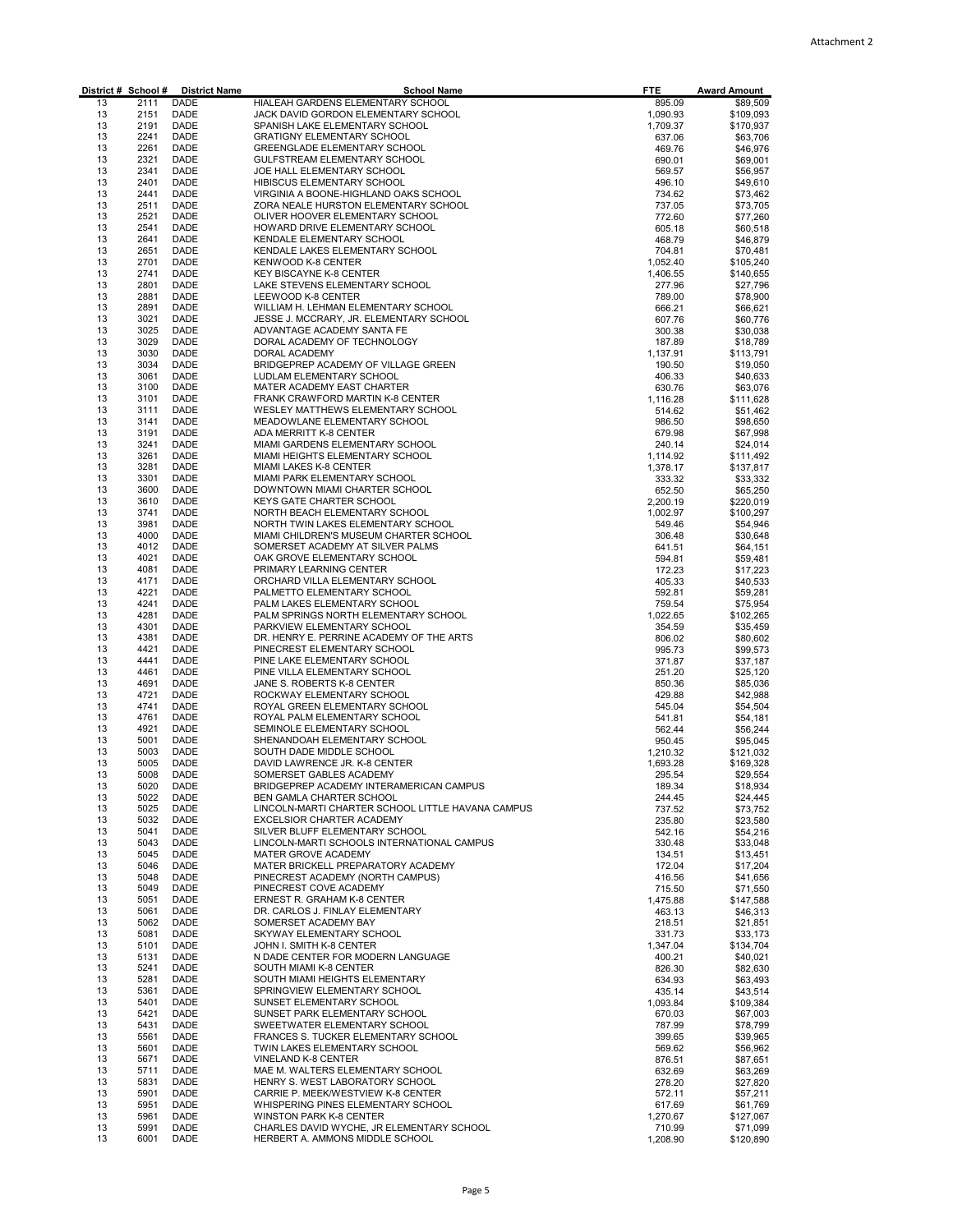| District # School # |              | <b>District Name</b> | <b>School Name</b>                                                           | <b>FTE</b>           | <b>Award Amount</b>    |
|---------------------|--------------|----------------------|------------------------------------------------------------------------------|----------------------|------------------------|
| 13                  | 2111         | DADE                 | HIALEAH GARDENS ELEMENTARY SCHOOL                                            | 895.09               | \$89,509               |
| 13<br>13            | 2151<br>2191 | DADE<br>DADE         | JACK DAVID GORDON ELEMENTARY SCHOOL<br>SPANISH LAKE ELEMENTARY SCHOOL        | 1,090.93<br>1,709.37 | \$109,093<br>\$170,937 |
| 13                  | 2241         | DADE                 | <b>GRATIGNY ELEMENTARY SCHOOL</b>                                            | 637.06               | \$63,706               |
| 13                  | 2261         | DADE                 | GREENGLADE ELEMENTARY SCHOOL                                                 | 469.76               | \$46,976               |
| 13                  | 2321         | DADE                 | GULFSTREAM ELEMENTARY SCHOOL                                                 | 690.01               | \$69,001               |
| 13<br>13            | 2341<br>2401 | DADE                 | JOE HALL ELEMENTARY SCHOOL                                                   | 569.57               | \$56,957               |
| 13                  | 2441         | DADE<br>DADE         | HIBISCUS ELEMENTARY SCHOOL<br>VIRGINIA A BOONE-HIGHLAND OAKS SCHOOL          | 496.10<br>734.62     | \$49,610<br>\$73,462   |
| 13                  | 2511         | DADE                 | ZORA NEALE HURSTON ELEMENTARY SCHOOL                                         | 737.05               | \$73,705               |
| 13                  | 2521         | DADE                 | OLIVER HOOVER ELEMENTARY SCHOOL                                              | 772.60               | \$77,260               |
| 13                  | 2541         | DADE                 | HOWARD DRIVE ELEMENTARY SCHOOL                                               | 605.18               | \$60,518               |
| 13                  | 2641         | DADE                 | KENDALE ELEMENTARY SCHOOL                                                    | 468.79               | \$46,879               |
| 13<br>13            | 2651<br>2701 | DADE<br>DADE         | KENDALE LAKES ELEMENTARY SCHOOL<br>KENWOOD K-8 CENTER                        | 704.81<br>1,052.40   | \$70,481<br>\$105,240  |
| 13                  | 2741         | DADE                 | KEY BISCAYNE K-8 CENTER                                                      | 1,406.55             | \$140,655              |
| 13                  | 2801         | DADE                 | LAKE STEVENS ELEMENTARY SCHOOL                                               | 277.96               | \$27,796               |
| 13                  | 2881         | DADE                 | LEEWOOD K-8 CENTER                                                           | 789.00               | \$78,900               |
| 13                  | 2891         | DADE                 | WILLIAM H. LEHMAN ELEMENTARY SCHOOL                                          | 666.21               | \$66,621               |
| 13<br>13            | 3021<br>3025 | DADE<br>DADE         | JESSE J. MCCRARY, JR. ELEMENTARY SCHOOL<br>ADVANTAGE ACADEMY SANTA FE        | 607.76<br>300.38     | \$60,776<br>\$30,038   |
| 13                  | 3029         | DADE                 | DORAL ACADEMY OF TECHNOLOGY                                                  | 187.89               | \$18,789               |
| 13                  | 3030         | DADE                 | DORAL ACADEMY                                                                | 1,137.91             | \$113,791              |
| 13                  | 3034         | DADE                 | BRIDGEPREP ACADEMY OF VILLAGE GREEN                                          | 190.50               | \$19,050               |
| 13                  | 3061         | DADE                 | LUDLAM ELEMENTARY SCHOOL                                                     | 406.33               | \$40,633               |
| 13                  | 3100         | DADE                 | MATER ACADEMY EAST CHARTER                                                   | 630.76               | \$63,076               |
| 13<br>13            | 3101<br>3111 | DADE<br>DADE         | FRANK CRAWFORD MARTIN K-8 CENTER<br>WESLEY MATTHEWS ELEMENTARY SCHOOL        | 1,116.28<br>514.62   | \$111,628<br>\$51,462  |
| 13                  | 3141         | DADE                 | MEADOWLANE ELEMENTARY SCHOOL                                                 | 986.50               | \$98,650               |
| 13                  | 3191         | DADE                 | ADA MERRITT K-8 CENTER                                                       | 679.98               | \$67,998               |
| 13                  | 3241         | DADE                 | MIAMI GARDENS ELEMENTARY SCHOOL                                              | 240.14               | \$24,014               |
| 13                  | 3261         | DADE                 | MIAMI HEIGHTS ELEMENTARY SCHOOL                                              | 1,114.92             | \$111,492              |
| 13<br>13            | 3281<br>3301 | DADE<br>DADE         | MIAMI LAKES K-8 CENTER<br>MIAMI PARK ELEMENTARY SCHOOL                       | 1,378.17<br>333.32   | \$137,817<br>\$33,332  |
| 13                  | 3600         | DADE                 | DOWNTOWN MIAMI CHARTER SCHOOL                                                | 652.50               | \$65,250               |
| 13                  | 3610         | DADE                 | KEYS GATE CHARTER SCHOOL                                                     | 2,200.19             | \$220,019              |
| 13                  | 3741         | DADE                 | NORTH BEACH ELEMENTARY SCHOOL                                                | 1,002.97             | \$100,297              |
| 13                  | 3981         | DADE                 | NORTH TWIN LAKES ELEMENTARY SCHOOL                                           | 549.46               | \$54,946               |
| 13<br>13            | 4000<br>4012 | DADE<br>DADE         | MIAMI CHILDREN'S MUSEUM CHARTER SCHOOL<br>SOMERSET ACADEMY AT SILVER PALMS   | 306.48               | \$30,648               |
| 13                  | 4021         | DADE                 | OAK GROVE ELEMENTARY SCHOOL                                                  | 641.51<br>594.81     | \$64,151<br>\$59,481   |
| 13                  | 4081         | DADE                 | PRIMARY LEARNING CENTER                                                      | 172.23               | \$17,223               |
| 13                  | 4171         | DADE                 | ORCHARD VILLA ELEMENTARY SCHOOL                                              | 405.33               | \$40,533               |
| 13                  | 4221         | DADE                 | PALMETTO ELEMENTARY SCHOOL                                                   | 592.81               | \$59,281               |
| 13                  | 4241<br>4281 | DADE                 | PALM LAKES ELEMENTARY SCHOOL                                                 | 759.54               | \$75,954               |
| 13<br>13            | 4301         | DADE<br>DADE         | PALM SPRINGS NORTH ELEMENTARY SCHOOL<br>PARKVIEW ELEMENTARY SCHOOL           | 1,022.65<br>354.59   | \$102,265<br>\$35,459  |
| 13                  | 4381         | DADE                 | DR. HENRY E. PERRINE ACADEMY OF THE ARTS                                     | 806.02               | \$80,602               |
| 13                  | 4421         | DADE                 | PINECREST ELEMENTARY SCHOOL                                                  | 995.73               | \$99,573               |
| 13                  | 4441         | DADE                 | PINE LAKE ELEMENTARY SCHOOL                                                  | 371.87               | \$37,187               |
| 13                  | 4461         | DADE                 | PINE VILLA ELEMENTARY SCHOOL                                                 | 251.20               | \$25,120               |
| 13<br>13            | 4691<br>4721 | DADE<br>DADE         | JANE S. ROBERTS K-8 CENTER<br>ROCKWAY ELEMENTARY SCHOOL                      | 850.36<br>429.88     | \$85,036<br>\$42,988   |
| 13                  | 4741         | DADE                 | ROYAL GREEN ELEMENTARY SCHOOL                                                | 545.04               | \$54,504               |
| 13                  | 4761         | DADE                 | ROYAL PALM ELEMENTARY SCHOOL                                                 | 541.81               | \$54,181               |
| 13                  | 4921         | DADE                 | SEMINOLE ELEMENTARY SCHOOL                                                   | 562.44               | \$56,244               |
| 13                  | 5001         | DADE                 | SHENANDOAH ELEMENTARY SCHOOL                                                 | 950.45               | \$95,045               |
| 13<br>13            | 5003<br>5005 | DADE<br>DADE         | SOUTH DADE MIDDLE SCHOOL<br>DAVID LAWRENCE JR. K-8 CENTER                    | 1,210.32             | \$121,032              |
| 13                  | 5008         | DADE                 | SOMERSET GABLES ACADEMY                                                      | 1,693.28<br>295.54   | \$169,328<br>\$29,554  |
| 13                  | 5020         | DADE                 | BRIDGEPREP ACADEMY INTERAMERICAN CAMPUS                                      | 189.34               | \$18,934               |
| 13                  | 5022         | DADE                 | BEN GAMLA CHARTER SCHOOL                                                     | 244.45               | \$24,445               |
| 13                  | 5025         | DADE                 | LINCOLN-MARTI CHARTER SCHOOL LITTLE HAVANA CAMPUS                            | 737.52               | \$73,752               |
| 13                  | 5032         | DADE                 | <b>EXCELSIOR CHARTER ACADEMY</b>                                             | 235.80               | \$23,580               |
| 13<br>13            | 5041<br>5043 | DADE<br>DADE         | SILVER BLUFF ELEMENTARY SCHOOL<br>LINCOLN-MARTI SCHOOLS INTERNATIONAL CAMPUS | 542.16<br>330.48     | \$54,216<br>\$33,048   |
| 13                  | 5045         | DADE                 | MATER GROVE ACADEMY                                                          | 134.51               | \$13,451               |
| 13                  | 5046         | DADE                 | MATER BRICKELL PREPARATORY ACADEMY                                           | 172.04               | \$17,204               |
| 13                  | 5048         | DADE                 | PINECREST ACADEMY (NORTH CAMPUS)                                             | 416.56               | \$41,656               |
| 13                  | 5049         | DADE                 | PINECREST COVE ACADEMY                                                       | 715.50               | \$71,550               |
| 13<br>13            | 5051<br>5061 | DADE<br>DADE         | ERNEST R. GRAHAM K-8 CENTER<br>DR. CARLOS J. FINLAY ELEMENTARY               | 1,475.88             | \$147,588              |
| 13                  | 5062         | DADE                 | SOMERSET ACADEMY BAY                                                         | 463.13<br>218.51     | \$46,313<br>\$21,851   |
| 13                  | 5081         | DADE                 | SKYWAY ELEMENTARY SCHOOL                                                     | 331.73               | \$33,173               |
| 13                  | 5101         | DADE                 | JOHN I. SMITH K-8 CENTER                                                     | 1,347.04             | \$134,704              |
| 13                  | 5131         | DADE                 | N DADE CENTER FOR MODERN LANGUAGE                                            | 400.21               | \$40,021               |
| 13                  | 5241         | DADE                 | SOUTH MIAMI K-8 CENTER                                                       | 826.30               | \$82,630               |
| 13<br>13            | 5281<br>5361 | DADE<br>DADE         | SOUTH MIAMI HEIGHTS ELEMENTARY<br>SPRINGVIEW ELEMENTARY SCHOOL               | 634.93<br>435.14     | \$63,493<br>\$43,514   |
| 13                  | 5401         | DADE                 | SUNSET ELEMENTARY SCHOOL                                                     | 1,093.84             | \$109,384              |
| 13                  | 5421         | DADE                 | SUNSET PARK ELEMENTARY SCHOOL                                                | 670.03               | \$67,003               |
| 13                  | 5431         | DADE                 | SWEETWATER ELEMENTARY SCHOOL                                                 | 787.99               | \$78,799               |
| 13                  | 5561         | DADE                 | FRANCES S. TUCKER ELEMENTARY SCHOOL                                          | 399.65               | \$39,965               |
| 13<br>13            | 5601<br>5671 | DADE<br>DADE         | TWIN LAKES ELEMENTARY SCHOOL<br>VINELAND K-8 CENTER                          | 569.62<br>876.51     | \$56,962<br>\$87,651   |
| 13                  | 5711         | DADE                 | MAE M. WALTERS ELEMENTARY SCHOOL                                             | 632.69               | \$63,269               |
| 13                  | 5831         | DADE                 | HENRY S. WEST LABORATORY SCHOOL                                              | 278.20               | \$27,820               |
| 13                  | 5901         | DADE                 | CARRIE P. MEEK/WESTVIEW K-8 CENTER                                           | 572.11               | \$57,211               |
| 13                  | 5951         | DADE                 | WHISPERING PINES ELEMENTARY SCHOOL                                           | 617.69               | \$61,769               |
| 13<br>13            | 5961<br>5991 | DADE<br>DADE         | <b>WINSTON PARK K-8 CENTER</b><br>CHARLES DAVID WYCHE, JR ELEMENTARY SCHOOL  | 1,270.67             | \$127,067<br>\$71,099  |
| 13                  | 6001         | DADE                 | HERBERT A. AMMONS MIDDLE SCHOOL                                              | 710.99<br>1,208.90   | \$120,890              |
|                     |              |                      |                                                                              |                      |                        |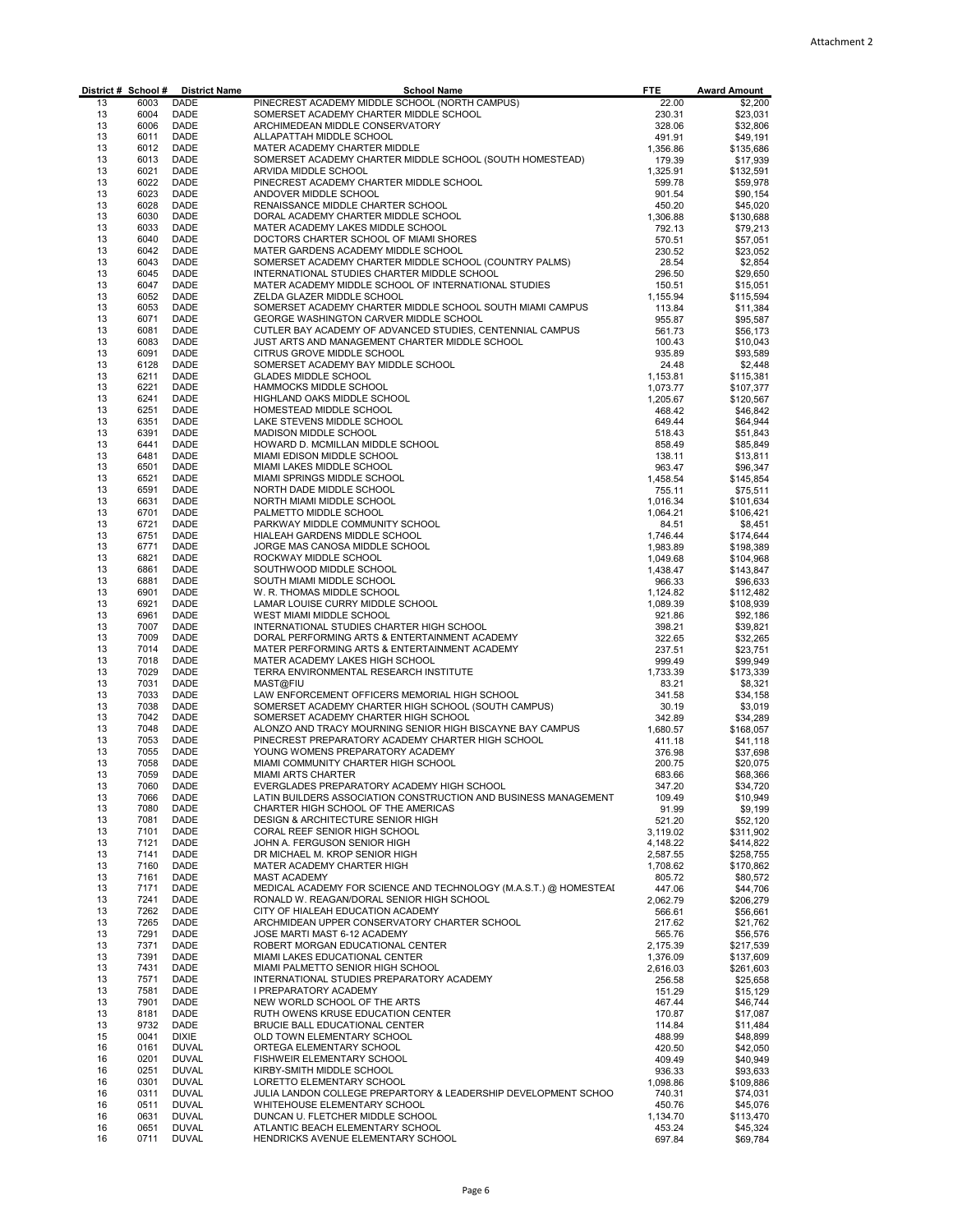| District # School # |              | <b>District Name</b>         | <b>School Name</b>                                                                                    | <b>FTE</b>           | <b>Award Amount</b>    |
|---------------------|--------------|------------------------------|-------------------------------------------------------------------------------------------------------|----------------------|------------------------|
| 13                  | 6003         | DADE                         | PINECREST ACADEMY MIDDLE SCHOOL (NORTH CAMPUS)                                                        | 22.00                | \$2,200                |
| 13<br>13            | 6004<br>6006 | DADE<br>DADE                 | SOMERSET ACADEMY CHARTER MIDDLE SCHOOL<br>ARCHIMEDEAN MIDDLE CONSERVATORY                             | 230.31<br>328.06     | \$23,031<br>\$32,806   |
| 13                  | 6011         | DADE                         | ALLAPATTAH MIDDLE SCHOOL                                                                              | 491.91               | \$49,191               |
| 13                  | 6012         | DADE                         | MATER ACADEMY CHARTER MIDDLE                                                                          | 1,356.86             | \$135,686              |
| 13                  | 6013         | <b>DADE</b>                  | SOMERSET ACADEMY CHARTER MIDDLE SCHOOL (SOUTH HOMESTEAD)                                              | 179.39               | \$17,939               |
| 13                  | 6021         | DADE                         | ARVIDA MIDDLE SCHOOL                                                                                  | 1,325.91             | \$132,591              |
| 13<br>13            | 6022<br>6023 | <b>DADE</b><br>DADE          | PINECREST ACADEMY CHARTER MIDDLE SCHOOL<br>ANDOVER MIDDLE SCHOOL                                      | 599.78               | \$59,978               |
| 13                  | 6028         | <b>DADE</b>                  | RENAISSANCE MIDDLE CHARTER SCHOOL                                                                     | 901.54<br>450.20     | \$90,154<br>\$45,020   |
| 13                  | 6030         | DADE                         | DORAL ACADEMY CHARTER MIDDLE SCHOOL                                                                   | 1,306.88             | \$130,688              |
| 13                  | 6033         | DADE                         | MATER ACADEMY LAKES MIDDLE SCHOOL                                                                     | 792.13               | \$79,213               |
| 13                  | 6040         | <b>DADE</b>                  | DOCTORS CHARTER SCHOOL OF MIAMI SHORES                                                                | 570.51               | \$57,051               |
| 13                  | 6042         | DADE                         | MATER GARDENS ACADEMY MIDDLE SCHOOL                                                                   | 230.52               | \$23,052               |
| 13<br>13            | 6043<br>6045 | DADE<br>DADE                 | SOMERSET ACADEMY CHARTER MIDDLE SCHOOL (COUNTRY PALMS)<br>INTERNATIONAL STUDIES CHARTER MIDDLE SCHOOL | 28.54<br>296.50      | \$2,854                |
| 13                  | 6047         | DADE                         | MATER ACADEMY MIDDLE SCHOOL OF INTERNATIONAL STUDIES                                                  | 150.51               | \$29,650<br>\$15,051   |
| 13                  | 6052         | DADE                         | ZELDA GLAZER MIDDLE SCHOOL                                                                            | 1,155.94             | \$115,594              |
| 13                  | 6053         | DADE                         | SOMERSET ACADEMY CHARTER MIDDLE SCHOOL SOUTH MIAMI CAMPUS                                             | 113.84               | \$11,384               |
| 13                  | 6071         | DADE                         | GEORGE WASHINGTON CARVER MIDDLE SCHOOL                                                                | 955.87               | \$95,587               |
| 13                  | 6081         | DADE                         | CUTLER BAY ACADEMY OF ADVANCED STUDIES, CENTENNIAL CAMPUS                                             | 561.73               | \$56,173               |
| 13                  | 6083         | DADE                         | JUST ARTS AND MANAGEMENT CHARTER MIDDLE SCHOOL                                                        | 100.43               | \$10,043               |
| 13<br>13            | 6091<br>6128 | <b>DADE</b><br>DADE          | CITRUS GROVE MIDDLE SCHOOL<br>SOMERSET ACADEMY BAY MIDDLE SCHOOL                                      | 935.89<br>24.48      | \$93,589<br>\$2,448    |
| 13                  | 6211         | <b>DADE</b>                  | <b>GLADES MIDDLE SCHOOL</b>                                                                           | 1,153.81             | \$115,381              |
| 13                  | 6221         | DADE                         | HAMMOCKS MIDDLE SCHOOL                                                                                | 1,073.77             | \$107,377              |
| 13                  | 6241         | DADE                         | HIGHLAND OAKS MIDDLE SCHOOL                                                                           | 1,205.67             | \$120,567              |
| 13                  | 6251         | <b>DADE</b>                  | HOMESTEAD MIDDLE SCHOOL                                                                               | 468.42               | \$46,842               |
| 13                  | 6351         | DADE                         | LAKE STEVENS MIDDLE SCHOOL                                                                            | 649.44               | \$64,944               |
| 13                  | 6391         | DADE                         | MADISON MIDDLE SCHOOL                                                                                 | 518.43               | \$51,843               |
| 13<br>13            | 6441<br>6481 | <b>DADE</b><br>DADE          | HOWARD D. MCMILLAN MIDDLE SCHOOL<br>MIAMI EDISON MIDDLE SCHOOL                                        | 858.49<br>138.11     | \$85,849<br>\$13,811   |
| 13                  | 6501         | DADE                         | MIAMI LAKES MIDDLE SCHOOL                                                                             | 963.47               | \$96,347               |
| 13                  | 6521         | DADE                         | MIAMI SPRINGS MIDDLE SCHOOL                                                                           | 1,458.54             | \$145,854              |
| 13                  | 6591         | DADE                         | NORTH DADE MIDDLE SCHOOL                                                                              | 755.11               | \$75,511               |
| 13                  | 6631         | DADE                         | NORTH MIAMI MIDDLE SCHOOL                                                                             | 1,016.34             | \$101,634              |
| 13                  | 6701         | DADE                         | PALMETTO MIDDLE SCHOOL                                                                                | 1,064.21             | \$106,421              |
| 13<br>13            | 6721<br>6751 | DADE<br>DADE                 | PARKWAY MIDDLE COMMUNITY SCHOOL<br>HIALEAH GARDENS MIDDLE SCHOOL                                      | 84.51<br>1,746.44    | \$8,451<br>\$174,644   |
| 13                  | 6771         | DADE                         | JORGE MAS CANOSA MIDDLE SCHOOL                                                                        | 1,983.89             | \$198,389              |
| 13                  | 6821         | <b>DADE</b>                  | ROCKWAY MIDDLE SCHOOL                                                                                 | 1,049.68             | \$104,968              |
| 13                  | 6861         | DADE                         | SOUTHWOOD MIDDLE SCHOOL                                                                               | 1,438.47             | \$143,847              |
| 13                  | 6881         | <b>DADE</b>                  | SOUTH MIAMI MIDDLE SCHOOL                                                                             | 966.33               | \$96,633               |
| 13                  | 6901         | DADE                         | W. R. THOMAS MIDDLE SCHOOL                                                                            | 1,124.82             | \$112,482              |
| 13<br>13            | 6921<br>6961 | DADE<br>DADE                 | LAMAR LOUISE CURRY MIDDLE SCHOOL                                                                      | 1,089.39             | \$108,939              |
| 13                  | 7007         | DADE                         | WEST MIAMI MIDDLE SCHOOL<br>INTERNATIONAL STUDIES CHARTER HIGH SCHOOL                                 | 921.86<br>398.21     | \$92,186<br>\$39,821   |
| 13                  | 7009         | <b>DADE</b>                  | DORAL PERFORMING ARTS & ENTERTAINMENT ACADEMY                                                         | 322.65               | \$32,265               |
| 13                  | 7014         | DADE                         | MATER PERFORMING ARTS & ENTERTAINMENT ACADEMY                                                         | 237.51               | \$23,751               |
| 13                  | 7018         | <b>DADE</b>                  | MATER ACADEMY LAKES HIGH SCHOOL                                                                       | 999.49               | \$99,949               |
| 13                  | 7029         | DADE                         | TERRA ENVIRONMENTAL RESEARCH INSTITUTE                                                                | 1,733.39             | \$173,339              |
| 13<br>13            | 7031<br>7033 | DADE<br>DADE                 | MAST@FIU<br>LAW ENFORCEMENT OFFICERS MEMORIAL HIGH SCHOOL                                             | 83.21<br>341.58      | \$8,321<br>\$34,158    |
| 13                  | 7038         | DADE                         | SOMERSET ACADEMY CHARTER HIGH SCHOOL (SOUTH CAMPUS)                                                   | 30.19                | \$3,019                |
| 13                  | 7042         | DADE                         | SOMERSET ACADEMY CHARTER HIGH SCHOOL                                                                  | 342.89               | \$34,289               |
| 13                  | 7048         | DADE                         | ALONZO AND TRACY MOURNING SENIOR HIGH BISCAYNE BAY CAMPUS                                             | 1,680.57             | \$168,057              |
| 13                  | 7053         | DADE                         | PINECREST PREPARATORY ACADEMY CHARTER HIGH SCHOOL                                                     | 411.18               | \$41,118               |
| 13                  | 7055         | DADE                         | YOUNG WOMENS PREPARATORY ACADEMY                                                                      | 376.98               | \$37,698               |
| 13<br>13            | 7058<br>7059 | <b>DADE</b><br>DADE          | MIAMI COMMUNITY CHARTER HIGH SCHOOL<br><b>MIAMI ARTS CHARTER</b>                                      | 200.75<br>683.66     | \$20,075<br>\$68,366   |
| 13                  | 7060         | DADE                         | EVERGLADES PREPARATORY ACADEMY HIGH SCHOOL                                                            | 347.20               | \$34,720               |
| 13                  | 7066         | DADE                         | LATIN BUILDERS ASSOCIATION CONSTRUCTION AND BUSINESS MANAGEMENT                                       | 109.49               | \$10,949               |
| 13                  | 7080         | DADE                         | CHARTER HIGH SCHOOL OF THE AMERICAS                                                                   | 91.99                | \$9,199                |
| 13                  | 7081         | DADE                         | <b>DESIGN &amp; ARCHITECTURE SENIOR HIGH</b>                                                          | 521.20               | \$52,120               |
| 13                  | 7101         | DADE                         | CORAL REEF SENIOR HIGH SCHOOL                                                                         | 3,119.02             | \$311,902              |
| 13<br>13            | 7121<br>7141 | DADE<br>DADE                 | JOHN A. FERGUSON SENIOR HIGH<br>DR MICHAEL M. KROP SENIOR HIGH                                        | 4,148.22<br>2,587.55 | \$414,822<br>\$258,755 |
| 13                  | 7160         | DADE                         | MATER ACADEMY CHARTER HIGH                                                                            | 1,708.62             | \$170,862              |
| 13                  | 7161         | DADE                         | <b>MAST ACADEMY</b>                                                                                   | 805.72               | \$80,572               |
| 13                  | 7171         | DADE                         | MEDICAL ACADEMY FOR SCIENCE AND TECHNOLOGY (M.A.S.T.) @ HOMESTEAI                                     | 447.06               | \$44,706               |
| 13                  | 7241         | DADE                         | RONALD W. REAGAN/DORAL SENIOR HIGH SCHOOL                                                             | 2,062.79             | \$206,279              |
| 13                  | 7262         | DADE                         | CITY OF HIALEAH EDUCATION ACADEMY                                                                     | 566.61               | \$56,661               |
| 13<br>13            | 7265<br>7291 | DADE<br>DADE                 | ARCHMIDEAN UPPER CONSERVATORY CHARTER SCHOOL<br>JOSE MARTI MAST 6-12 ACADEMY                          | 217.62               | \$21,762<br>\$56,576   |
| 13                  | 7371         | DADE                         | ROBERT MORGAN EDUCATIONAL CENTER                                                                      | 565.76<br>2,175.39   | \$217,539              |
| 13                  | 7391         | DADE                         | MIAMI LAKES EDUCATIONAL CENTER                                                                        | 1,376.09             | \$137,609              |
| 13                  | 7431         | DADE                         | MIAMI PALMETTO SENIOR HIGH SCHOOL                                                                     | 2,616.03             | \$261,603              |
| 13                  | 7571         | DADE                         | INTERNATIONAL STUDIES PREPARATORY ACADEMY                                                             | 256.58               | \$25,658               |
| 13                  | 7581         | DADE                         | I PREPARATORY ACADEMY                                                                                 | 151.29               | \$15,129               |
| 13                  | 7901         | DADE                         | NEW WORLD SCHOOL OF THE ARTS                                                                          | 467.44               | \$46,744               |
| 13<br>13            | 8181<br>9732 | DADE<br>DADE                 | RUTH OWENS KRUSE EDUCATION CENTER<br>BRUCIE BALL EDUCATIONAL CENTER                                   | 170.87<br>114.84     | \$17,087<br>\$11,484   |
| 15                  | 0041         | <b>DIXIE</b>                 | OLD TOWN ELEMENTARY SCHOOL                                                                            | 488.99               | \$48,899               |
| 16                  | 0161         | <b>DUVAL</b>                 | ORTEGA ELEMENTARY SCHOOL                                                                              | 420.50               | \$42,050               |
| 16                  | 0201         | <b>DUVAL</b>                 | FISHWEIR ELEMENTARY SCHOOL                                                                            | 409.49               | \$40,949               |
| 16                  | 0251         | <b>DUVAL</b>                 | KIRBY-SMITH MIDDLE SCHOOL                                                                             | 936.33               | \$93,633               |
| 16                  | 0301         | <b>DUVAL</b>                 | LORETTO ELEMENTARY SCHOOL                                                                             | 1,098.86             | \$109,886              |
| 16<br>16            | 0311<br>0511 | <b>DUVAL</b><br><b>DUVAL</b> | JULIA LANDON COLLEGE PREPARTORY & LEADERSHIP DEVELOPMENT SCHOO<br>WHITEHOUSE ELEMENTARY SCHOOL        | 740.31               | \$74,031               |
| 16                  | 0631         | <b>DUVAL</b>                 | DUNCAN U. FLETCHER MIDDLE SCHOOL                                                                      | 450.76<br>1,134.70   | \$45,076<br>\$113,470  |
| 16                  | 0651         | <b>DUVAL</b>                 | ATLANTIC BEACH ELEMENTARY SCHOOL                                                                      | 453.24               | \$45,324               |
| 16                  | 0711         | <b>DUVAL</b>                 | HENDRICKS AVENUE ELEMENTARY SCHOOL                                                                    | 697.84               | \$69,784               |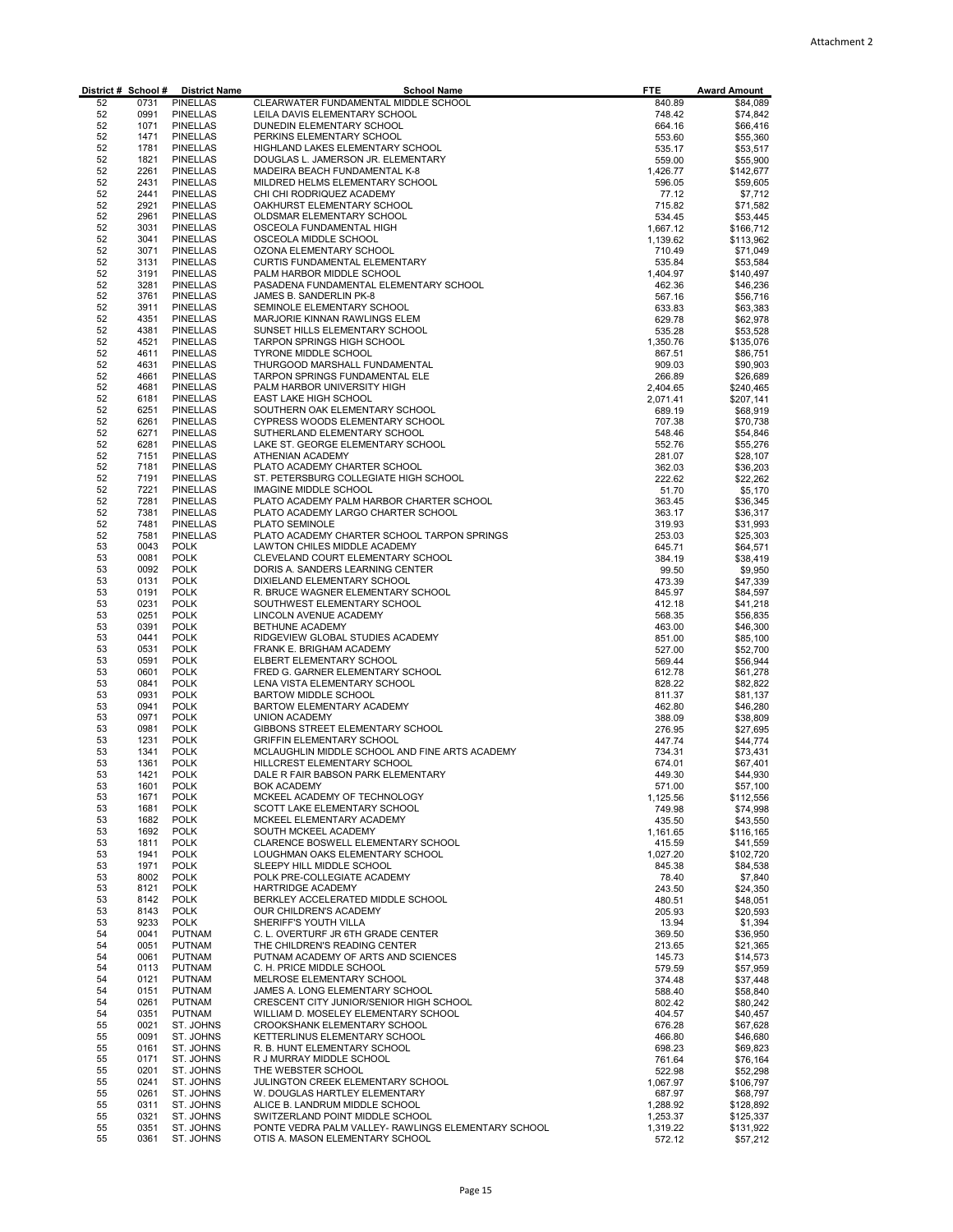|          |              | District # School # District Name  | <b>School Name</b>                                                             | <b>FTE</b>         | <b>Award Amount</b>   |
|----------|--------------|------------------------------------|--------------------------------------------------------------------------------|--------------------|-----------------------|
| 52       | 0731         | <b>PINELLAS</b>                    | CLEARWATER FUNDAMENTAL MIDDLE SCHOOL                                           | 840.89             | \$84,089              |
| 52<br>52 | 0991<br>1071 | <b>PINELLAS</b><br><b>PINELLAS</b> | LEILA DAVIS ELEMENTARY SCHOOL<br>DUNEDIN ELEMENTARY SCHOOL                     | 748.42<br>664.16   | \$74,842<br>\$66,416  |
| 52       | 1471         | PINELLAS                           | PERKINS ELEMENTARY SCHOOL                                                      | 553.60             | \$55,360              |
| 52       | 1781         | <b>PINELLAS</b>                    | HIGHLAND LAKES ELEMENTARY SCHOOL                                               | 535.17             | \$53,517              |
| 52       | 1821         | <b>PINELLAS</b>                    | DOUGLAS L. JAMERSON JR. ELEMENTARY                                             | 559.00             | \$55,900              |
| 52       | 2261         | <b>PINELLAS</b>                    | MADEIRA BEACH FUNDAMENTAL K-8                                                  | 1,426.77           | \$142,677             |
| 52       | 2431         | <b>PINELLAS</b>                    | MILDRED HELMS ELEMENTARY SCHOOL                                                | 596.05             | \$59,605              |
| 52       | 2441         | <b>PINELLAS</b>                    | CHI CHI RODRIQUEZ ACADEMY                                                      | 77.12              | \$7,712               |
| 52<br>52 | 2921<br>2961 | <b>PINELLAS</b>                    | OAKHURST ELEMENTARY SCHOOL                                                     | 715.82             | \$71,582              |
| 52       | 3031         | PINELLAS<br><b>PINELLAS</b>        | OLDSMAR ELEMENTARY SCHOOL<br>OSCEOLA FUNDAMENTAL HIGH                          | 534.45<br>1,667.12 | \$53,445<br>\$166,712 |
| 52       | 3041         | PINELLAS                           | OSCEOLA MIDDLE SCHOOL                                                          | 1,139.62           | \$113,962             |
| 52       | 3071         | <b>PINELLAS</b>                    | OZONA ELEMENTARY SCHOOL                                                        | 710.49             | \$71,049              |
| 52       | 3131         | <b>PINELLAS</b>                    | CURTIS FUNDAMENTAL ELEMENTARY                                                  | 535.84             | \$53,584              |
| 52       | 3191         | <b>PINELLAS</b>                    | PALM HARBOR MIDDLE SCHOOL                                                      | 1,404.97           | \$140,497             |
| 52       | 3281         | <b>PINELLAS</b>                    | PASADENA FUNDAMENTAL ELEMENTARY SCHOOL                                         | 462.36             | \$46,236              |
| 52       | 3761         | <b>PINELLAS</b>                    | JAMES B. SANDERLIN PK-8                                                        | 567.16             | \$56,716              |
| 52<br>52 | 3911<br>4351 | PINELLAS<br><b>PINELLAS</b>        | SEMINOLE ELEMENTARY SCHOOL<br>MARJORIE KINNAN RAWLINGS ELEM                    | 633.83             | \$63,383              |
| 52       | 4381         | PINELLAS                           | SUNSET HILLS ELEMENTARY SCHOOL                                                 | 629.78<br>535.28   | \$62,978<br>\$53,528  |
| 52       | 4521         | <b>PINELLAS</b>                    | TARPON SPRINGS HIGH SCHOOL                                                     | 1,350.76           | \$135,076             |
| 52       | 4611         | <b>PINELLAS</b>                    | TYRONE MIDDLE SCHOOL                                                           | 867.51             | \$86,751              |
| 52       | 4631         | <b>PINELLAS</b>                    | THURGOOD MARSHALL FUNDAMENTAL                                                  | 909.03             | \$90,903              |
| 52       | 4661         | <b>PINELLAS</b>                    | TARPON SPRINGS FUNDAMENTAL ELE                                                 | 266.89             | \$26,689              |
| 52       | 4681         | <b>PINELLAS</b>                    | PALM HARBOR UNIVERSITY HIGH                                                    | 2,404.65           | \$240,465             |
| 52       | 6181         | <b>PINELLAS</b>                    | EAST LAKE HIGH SCHOOL                                                          | 2,071.41           | \$207,141             |
| 52<br>52 | 6251<br>6261 | <b>PINELLAS</b><br><b>PINELLAS</b> | SOUTHERN OAK ELEMENTARY SCHOOL<br>CYPRESS WOODS ELEMENTARY SCHOOL              | 689.19<br>707.38   | \$68,919<br>\$70,738  |
| 52       | 6271         | <b>PINELLAS</b>                    | SUTHERLAND ELEMENTARY SCHOOL                                                   | 548.46             | \$54,846              |
| 52       | 6281         | <b>PINELLAS</b>                    | LAKE ST. GEORGE ELEMENTARY SCHOOL                                              | 552.76             | \$55,276              |
| 52       | 7151         | <b>PINELLAS</b>                    | ATHENIAN ACADEMY                                                               | 281.07             | \$28,107              |
| 52       | 7181         | <b>PINELLAS</b>                    | PLATO ACADEMY CHARTER SCHOOL                                                   | 362.03             | \$36,203              |
| 52       | 7191         | <b>PINELLAS</b>                    | ST. PETERSBURG COLLEGIATE HIGH SCHOOL                                          | 222.62             | \$22,262              |
| 52       | 7221         | <b>PINELLAS</b>                    | <b>IMAGINE MIDDLE SCHOOL</b>                                                   | 51.70              | \$5,170               |
| 52<br>52 | 7281<br>7381 | PINELLAS<br><b>PINELLAS</b>        | PLATO ACADEMY PALM HARBOR CHARTER SCHOOL<br>PLATO ACADEMY LARGO CHARTER SCHOOL | 363.45<br>363.17   | \$36,345<br>\$36,317  |
| 52       | 7481         | <b>PINELLAS</b>                    | PLATO SEMINOLE                                                                 | 319.93             | \$31,993              |
| 52       | 7581         | <b>PINELLAS</b>                    | PLATO ACADEMY CHARTER SCHOOL TARPON SPRINGS                                    | 253.03             | \$25,303              |
| 53       | 0043         | <b>POLK</b>                        | LAWTON CHILES MIDDLE ACADEMY                                                   | 645.71             | \$64,571              |
| 53       | 0081         | <b>POLK</b>                        | CLEVELAND COURT ELEMENTARY SCHOOL                                              | 384.19             | \$38,419              |
| 53       | 0092         | <b>POLK</b>                        | DORIS A. SANDERS LEARNING CENTER                                               | 99.50              | \$9,950               |
| 53       | 0131         | <b>POLK</b>                        | DIXIELAND ELEMENTARY SCHOOL                                                    | 473.39             | \$47,339              |
| 53<br>53 | 0191<br>0231 | <b>POLK</b><br><b>POLK</b>         | R. BRUCE WAGNER ELEMENTARY SCHOOL<br>SOUTHWEST ELEMENTARY SCHOOL               | 845.97             | \$84,597              |
| 53       | 0251         | <b>POLK</b>                        | LINCOLN AVENUE ACADEMY                                                         | 412.18<br>568.35   | \$41,218<br>\$56,835  |
| 53       | 0391         | <b>POLK</b>                        | BETHUNE ACADEMY                                                                | 463.00             | \$46,300              |
| 53       | 0441         | <b>POLK</b>                        | RIDGEVIEW GLOBAL STUDIES ACADEMY                                               | 851.00             | \$85,100              |
| 53       | 0531         | <b>POLK</b>                        | FRANK E. BRIGHAM ACADEMY                                                       | 527.00             | \$52,700              |
| 53       | 0591         | <b>POLK</b>                        | ELBERT ELEMENTARY SCHOOL                                                       | 569.44             | \$56,944              |
| 53       | 0601         | <b>POLK</b>                        | FRED G. GARNER ELEMENTARY SCHOOL                                               | 612.78             | \$61,278              |
| 53<br>53 | 0841<br>0931 | <b>POLK</b><br><b>POLK</b>         | LENA VISTA ELEMENTARY SCHOOL<br>BARTOW MIDDLE SCHOOL                           | 828.22             | \$82,822<br>\$81,137  |
| 53       | 0941         | <b>POLK</b>                        | BARTOW ELEMENTARY ACADEMY                                                      | 811.37<br>462.80   | \$46,280              |
| 53       | 0971         | <b>POLK</b>                        | <b>UNION ACADEMY</b>                                                           | 388.09             | \$38,809              |
| 53       | 0981         | <b>POLK</b>                        | GIBBONS STREET ELEMENTARY SCHOOL                                               | 276.95             | \$27,695              |
| 53       | 1231         | <b>POLK</b>                        | <b>GRIFFIN ELEMENTARY SCHOOL</b>                                               | 447.74             | \$44,774              |
| 53       | 1341         | <b>POLK</b>                        | MCLAUGHLIN MIDDLE SCHOOL AND FINE ARTS ACADEMY                                 | 734.31             | \$73,431              |
| 53       | 1361         | <b>POLK</b>                        | HILLCREST ELEMENTARY SCHOOL                                                    | 674.01             | \$67,401              |
| 53<br>53 | 1421<br>1601 | <b>POLK</b><br><b>POLK</b>         | DALE R FAIR BABSON PARK ELEMENTARY<br><b>BOK ACADEMY</b>                       | 449.30             | \$44,930<br>\$57,100  |
| 53       | 1671         | <b>POLK</b>                        | MCKEEL ACADEMY OF TECHNOLOGY                                                   | 571.00<br>1,125.56 | \$112,556             |
| 53       | 1681         | <b>POLK</b>                        | SCOTT LAKE ELEMENTARY SCHOOL                                                   | 749.98             | \$74,998              |
| 53       | 1682         | <b>POLK</b>                        | MCKEEL ELEMENTARY ACADEMY                                                      | 435.50             | \$43,550              |
| 53       | 1692         | <b>POLK</b>                        | SOUTH MCKEEL ACADEMY                                                           | 1,161.65           | \$116,165             |
| 53       | 1811         | <b>POLK</b>                        | CLARENCE BOSWELL ELEMENTARY SCHOOL                                             | 415.59             | \$41,559              |
| 53       | 1941         | <b>POLK</b>                        | LOUGHMAN OAKS ELEMENTARY SCHOOL                                                | 1,027.20           | \$102,720             |
| 53<br>53 | 1971<br>8002 | <b>POLK</b><br><b>POLK</b>         | SLEEPY HILL MIDDLE SCHOOL<br>POLK PRE-COLLEGIATE ACADEMY                       | 845.38<br>78.40    | \$84,538<br>\$7,840   |
| 53       | 8121         | <b>POLK</b>                        | <b>HARTRIDGE ACADEMY</b>                                                       | 243.50             | \$24,350              |
| 53       | 8142         | <b>POLK</b>                        | BERKLEY ACCELERATED MIDDLE SCHOOL                                              | 480.51             | \$48,051              |
| 53       | 8143         | <b>POLK</b>                        | OUR CHILDREN'S ACADEMY                                                         | 205.93             | \$20,593              |
| 53       | 9233         | <b>POLK</b>                        | SHERIFF'S YOUTH VILLA                                                          | 13.94              | \$1,394               |
| 54       | 0041         | <b>PUTNAM</b>                      | C. L. OVERTURF JR 6TH GRADE CENTER                                             | 369.50             | \$36,950              |
| 54       | 0051         | PUTNAM                             | THE CHILDREN'S READING CENTER                                                  | 213.65             | \$21,365              |
| 54       | 0061         | <b>PUTNAM</b>                      | PUTNAM ACADEMY OF ARTS AND SCIENCES                                            | 145.73             | \$14,573              |
| 54<br>54 | 0113<br>0121 | <b>PUTNAM</b><br><b>PUTNAM</b>     | C. H. PRICE MIDDLE SCHOOL<br>MELROSE ELEMENTARY SCHOOL                         | 579.59<br>374.48   | \$57,959<br>\$37,448  |
| 54       | 0151         | <b>PUTNAM</b>                      | JAMES A. LONG ELEMENTARY SCHOOL                                                | 588.40             | \$58,840              |
| 54       | 0261         | <b>PUTNAM</b>                      | CRESCENT CITY JUNIOR/SENIOR HIGH SCHOOL                                        | 802.42             | \$80,242              |
| 54       | 0351         | <b>PUTNAM</b>                      | WILLIAM D. MOSELEY ELEMENTARY SCHOOL                                           | 404.57             | \$40,457              |
| 55       | 0021         | ST. JOHNS                          | CROOKSHANK ELEMENTARY SCHOOL                                                   | 676.28             | \$67,628              |
| 55       | 0091         | ST. JOHNS                          | KETTERLINUS ELEMENTARY SCHOOL                                                  | 466.80             | \$46,680              |
| 55<br>55 | 0161<br>0171 | ST. JOHNS                          | R. B. HUNT ELEMENTARY SCHOOL                                                   | 698.23             | \$69,823              |
| 55       | 0201         | ST. JOHNS<br>ST. JOHNS             | R J MURRAY MIDDLE SCHOOL<br>THE WEBSTER SCHOOL                                 | 761.64<br>522.98   | \$76,164<br>\$52,298  |
| 55       | 0241         | ST. JOHNS                          | JULINGTON CREEK ELEMENTARY SCHOOL                                              | 1,067.97           | \$106,797             |
| 55       | 0261         | ST. JOHNS                          | W. DOUGLAS HARTLEY ELEMENTARY                                                  | 687.97             | \$68,797              |
| 55       | 0311         | ST. JOHNS                          | ALICE B. LANDRUM MIDDLE SCHOOL                                                 | 1,288.92           | \$128,892             |
| 55       | 0321         | ST. JOHNS                          | SWITZERLAND POINT MIDDLE SCHOOL                                                | 1,253.37           | \$125,337             |
| 55       | 0351         | ST. JOHNS                          | PONTE VEDRA PALM VALLEY- RAWLINGS ELEMENTARY SCHOOL                            | 1,319.22           | \$131,922             |
| 55       | 0361         | ST. JOHNS                          | OTIS A. MASON ELEMENTARY SCHOOL                                                | 572.12             | \$57,212              |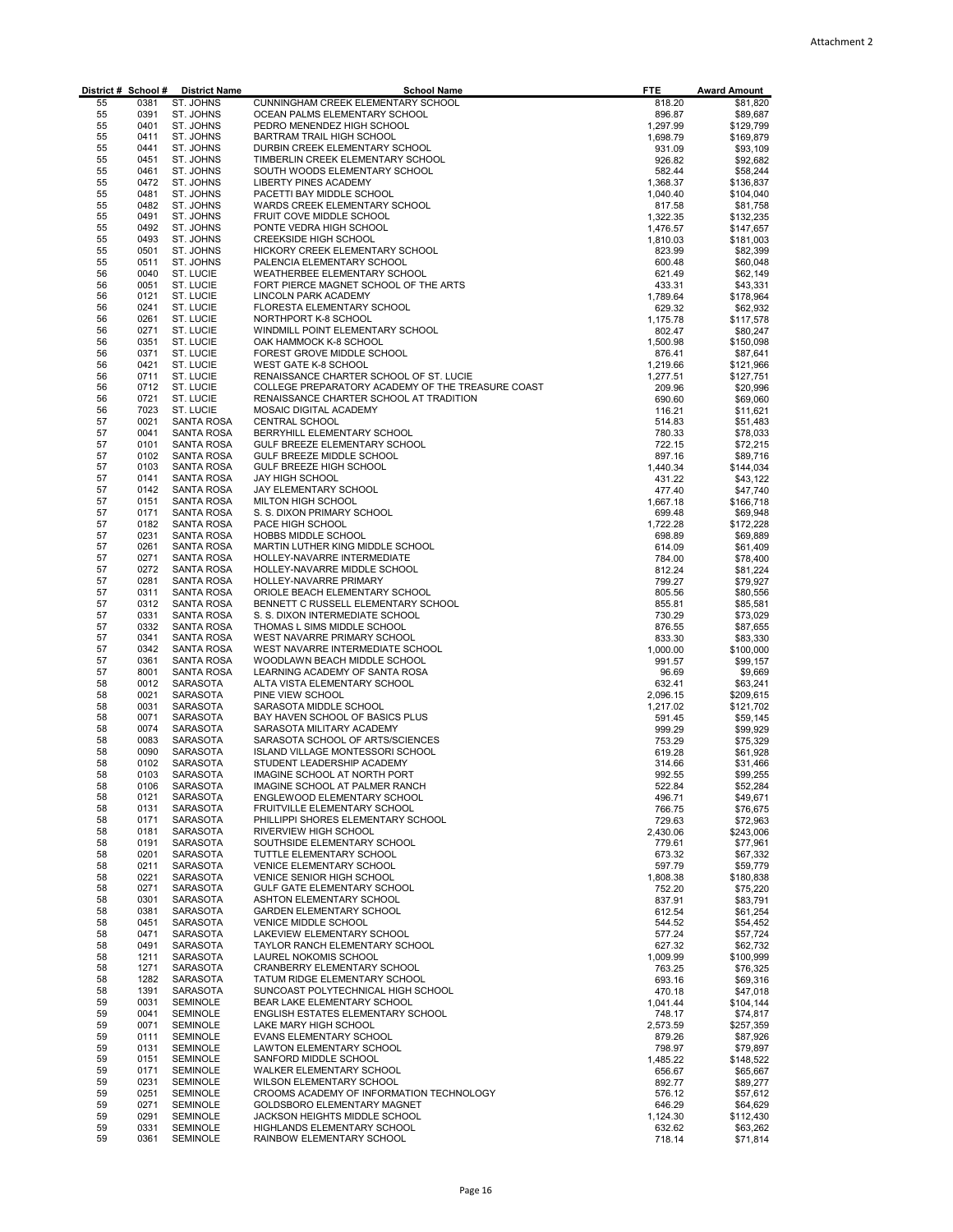| District # School # |              | <b>District Name</b>     | <b>School Name</b>                                                  | <b>FTE</b>         | <b>Award Amount</b>   |
|---------------------|--------------|--------------------------|---------------------------------------------------------------------|--------------------|-----------------------|
| 55                  | 0381         | ST. JOHNS                | CUNNINGHAM CREEK ELEMENTARY SCHOOL                                  | 818.20             | \$81,820              |
| 55                  | 0391         | ST. JOHNS                | OCEAN PALMS ELEMENTARY SCHOOL                                       | 896.87             | \$89,687              |
| 55                  | 0401         | ST. JOHNS                | PEDRO MENENDEZ HIGH SCHOOL                                          | 1,297.99           | \$129,799             |
| 55<br>55            | 0411<br>0441 | ST. JOHNS<br>ST. JOHNS   | BARTRAM TRAIL HIGH SCHOOL<br>DURBIN CREEK ELEMENTARY SCHOOL         | 1,698.79           | \$169,879             |
| 55                  | 0451         | ST. JOHNS                | TIMBERLIN CREEK ELEMENTARY SCHOOL                                   | 931.09<br>926.82   | \$93,109<br>\$92,682  |
| 55                  | 0461         | ST. JOHNS                | SOUTH WOODS ELEMENTARY SCHOOL                                       | 582.44             | \$58,244              |
| 55                  | 0472         | ST. JOHNS                | <b>LIBERTY PINES ACADEMY</b>                                        | 1,368.37           | \$136,837             |
| 55                  | 0481         | ST. JOHNS                | PACETTI BAY MIDDLE SCHOOL                                           | 1,040.40           | \$104,040             |
| 55                  | 0482         | ST. JOHNS                | WARDS CREEK ELEMENTARY SCHOOL                                       | 817.58             | \$81,758              |
| 55                  | 0491         | ST. JOHNS                | FRUIT COVE MIDDLE SCHOOL                                            | 1,322.35           | \$132,235             |
| 55                  | 0492         | ST. JOHNS                | PONTE VEDRA HIGH SCHOOL                                             | 1,476.57           | \$147,657             |
| 55                  | 0493         | ST. JOHNS                | <b>CREEKSIDE HIGH SCHOOL</b>                                        | 1,810.03           | \$181,003             |
| 55                  | 0501         | ST. JOHNS                | HICKORY CREEK ELEMENTARY SCHOOL                                     | 823.99             | \$82,399              |
| 55                  | 0511         | ST. JOHNS                | PALENCIA ELEMENTARY SCHOOL                                          | 600.48             | \$60,048              |
| 56                  | 0040         | ST. LUCIE                | WEATHERBEE ELEMENTARY SCHOOL                                        | 621.49             | \$62,149              |
| 56                  | 0051         | ST. LUCIE                | FORT PIERCE MAGNET SCHOOL OF THE ARTS                               | 433.31             | \$43,331              |
| 56                  | 0121         | ST. LUCIE                | LINCOLN PARK ACADEMY                                                | 1,789.64           | \$178,964             |
| 56                  | 0241         | ST. LUCIE                | FLORESTA ELEMENTARY SCHOOL                                          | 629.32             | \$62,932              |
| 56<br>56            | 0261<br>0271 | ST. LUCIE                | NORTHPORT K-8 SCHOOL                                                | 1,175.78           | \$117,578             |
| 56                  | 0351         | ST. LUCIE<br>ST. LUCIE   | WINDMILL POINT ELEMENTARY SCHOOL<br>OAK HAMMOCK K-8 SCHOOL          | 802.47             | \$80,247              |
| 56                  | 0371         | ST. LUCIE                | FOREST GROVE MIDDLE SCHOOL                                          | 1,500.98<br>876.41 | \$150,098<br>\$87,641 |
| 56                  | 0421         | ST. LUCIE                | <b>WEST GATE K-8 SCHOOL</b>                                         | 1,219.66           | \$121,966             |
| 56                  | 0711         | ST. LUCIE                | RENAISSANCE CHARTER SCHOOL OF ST. LUCIE                             | 1,277.51           | \$127,751             |
| 56                  | 0712         | ST. LUCIE                | COLLEGE PREPARATORY ACADEMY OF THE TREASURE COAST                   | 209.96             | \$20,996              |
| 56                  | 0721         | ST. LUCIE                | RENAISSANCE CHARTER SCHOOL AT TRADITION                             | 690.60             | \$69,060              |
| 56                  | 7023         | ST. LUCIE                | MOSAIC DIGITAL ACADEMY                                              | 116.21             | \$11,621              |
| 57                  | 0021         | SANTA ROSA               | <b>CENTRAL SCHOOL</b>                                               | 514.83             | \$51,483              |
| 57                  | 0041         | SANTA ROSA               | BERRYHILL ELEMENTARY SCHOOL                                         | 780.33             | \$78,033              |
| 57                  | 0101         | SANTA ROSA               | GULF BREEZE ELEMENTARY SCHOOL                                       | 722.15             | \$72,215              |
| 57                  | 0102         | SANTA ROSA               | GULF BREEZE MIDDLE SCHOOL                                           | 897.16             | \$89,716              |
| 57                  | 0103         | SANTA ROSA               | GULF BREEZE HIGH SCHOOL                                             | 1,440.34           | \$144,034             |
| 57                  | 0141         | SANTA ROSA               | <b>JAY HIGH SCHOOL</b>                                              | 431.22             | \$43,122              |
| 57                  | 0142         | SANTA ROSA               | JAY ELEMENTARY SCHOOL                                               | 477.40             | \$47,740              |
| 57                  | 0151         | SANTA ROSA               | MILTON HIGH SCHOOL                                                  | 1,667.18           | \$166,718             |
| 57                  | 0171         | SANTA ROSA               | S. S. DIXON PRIMARY SCHOOL                                          | 699.48             | \$69,948              |
| 57                  | 0182         | <b>SANTA ROSA</b>        | PACE HIGH SCHOOL                                                    | 1,722.28           | \$172,228             |
| 57                  | 0231         | SANTA ROSA               | HOBBS MIDDLE SCHOOL                                                 | 698.89             | \$69,889              |
| 57                  | 0261         | SANTA ROSA               | MARTIN LUTHER KING MIDDLE SCHOOL                                    | 614.09             | \$61,409              |
| 57                  | 0271<br>0272 | SANTA ROSA               | HOLLEY-NAVARRE INTERMEDIATE                                         | 784.00             | \$78,400              |
| 57                  | 0281         | SANTA ROSA               | HOLLEY-NAVARRE MIDDLE SCHOOL                                        | 812.24             | \$81,224              |
| 57<br>57            | 0311         | SANTA ROSA<br>SANTA ROSA | HOLLEY-NAVARRE PRIMARY<br>ORIOLE BEACH ELEMENTARY SCHOOL            | 799.27<br>805.56   | \$79,927<br>\$80,556  |
| 57                  | 0312         | SANTA ROSA               | BENNETT C RUSSELL ELEMENTARY SCHOOL                                 | 855.81             | \$85,581              |
| 57                  | 0331         | SANTA ROSA               | S. S. DIXON INTERMEDIATE SCHOOL                                     | 730.29             | \$73,029              |
| 57                  | 0332         | SANTA ROSA               | THOMAS L SIMS MIDDLE SCHOOL                                         | 876.55             | \$87,655              |
| 57                  | 0341         | SANTA ROSA               | WEST NAVARRE PRIMARY SCHOOL                                         | 833.30             | \$83,330              |
| 57                  | 0342         | SANTA ROSA               | WEST NAVARRE INTERMEDIATE SCHOOL                                    | 1,000.00           | \$100,000             |
| 57                  | 0361         | <b>SANTA ROSA</b>        | WOODLAWN BEACH MIDDLE SCHOOL                                        | 991.57             | \$99,157              |
| 57                  | 8001         | SANTA ROSA               | LEARNING ACADEMY OF SANTA ROSA                                      | 96.69              | \$9,669               |
| 58                  | 0012         | SARASOTA                 | ALTA VISTA ELEMENTARY SCHOOL                                        | 632.41             | \$63,241              |
| 58                  | 0021         | <b>SARASOTA</b>          | PINE VIEW SCHOOL                                                    | 2,096.15           | \$209,615             |
| 58                  | 0031         | SARASOTA                 | SARASOTA MIDDLE SCHOOL                                              | 1,217.02           | \$121,702             |
| 58                  | 0071         | SARASOTA                 | BAY HAVEN SCHOOL OF BASICS PLUS                                     | 591.45             | \$59,145              |
| 58                  | 0074         | SARASOTA                 | SARASOTA MILITARY ACADEMY                                           | 999.29             | \$99,929              |
| 58                  | 0083         | SARASOTA                 | SARASOTA SCHOOL OF ARTS/SCIENCES                                    | 753.29             | \$75,329              |
| 58                  | 0090         | SARASOTA                 | <b>ISLAND VILLAGE MONTESSORI SCHOOL</b>                             | 619.28             | \$61,928              |
| 58<br>58            | 0102<br>0103 | SARASOTA<br>SARASOTA     | STUDENT LEADERSHIP ACADEMY<br>IMAGINE SCHOOL AT NORTH PORT          | 314.66<br>992.55   | \$31,466<br>\$99,255  |
| 58                  | 0106         | SARASOTA                 | IMAGINE SCHOOL AT PALMER RANCH                                      | 522.84             | \$52,284              |
| 58                  | 0121         | SARASOTA                 | ENGLEWOOD ELEMENTARY SCHOOL                                         | 496.71             | \$49,671              |
| 58                  | 0131         | SARASOTA                 | FRUITVILLE ELEMENTARY SCHOOL                                        | 766.75             | \$76,675              |
| 58                  | 0171         | SARASOTA                 | PHILLIPPI SHORES ELEMENTARY SCHOOL                                  | 729.63             | \$72,963              |
| 58                  | 0181         | SARASOTA                 | RIVERVIEW HIGH SCHOOL                                               | 2,430.06           | \$243,006             |
| 58                  | 0191         | SARASOTA                 | SOUTHSIDE ELEMENTARY SCHOOL                                         | 779.61             | \$77,961              |
| 58                  | 0201         | SARASOTA                 | TUTTLE ELEMENTARY SCHOOL                                            | 673.32             | \$67,332              |
| 58                  | 0211         | <b>SARASOTA</b>          | <b>VENICE ELEMENTARY SCHOOL</b>                                     | 597.79             | \$59,779              |
| 58                  | 0221         | SARASOTA                 | VENICE SENIOR HIGH SCHOOL                                           | 1,808.38           | \$180,838             |
| 58                  | 0271         | SARASOTA                 | GULF GATE ELEMENTARY SCHOOL                                         | 752.20             | \$75,220              |
| 58                  | 0301         | SARASOTA                 | ASHTON ELEMENTARY SCHOOL                                            | 837.91             | \$83,791              |
| 58                  | 0381         | SARASOTA                 | <b>GARDEN ELEMENTARY SCHOOL</b>                                     | 612.54             | \$61,254              |
| 58                  | 0451         | SARASOTA                 | VENICE MIDDLE SCHOOL                                                | 544.52             | \$54,452              |
| 58                  | 0471         | <b>SARASOTA</b>          | LAKEVIEW ELEMENTARY SCHOOL                                          | 577.24             | \$57,724              |
| 58                  | 0491         | SARASOTA                 | TAYLOR RANCH ELEMENTARY SCHOOL                                      | 627.32             | \$62,732              |
| 58                  | 1211         | SARASOTA                 | LAUREL NOKOMIS SCHOOL<br>CRANBERRY ELEMENTARY SCHOOL                | 1,009.99           | \$100,999             |
| 58                  | 1271         | <b>SARASOTA</b>          |                                                                     | 763.25             | \$76,325              |
| 58<br>58            | 1282<br>1391 | SARASOTA<br>SARASOTA     | TATUM RIDGE ELEMENTARY SCHOOL<br>SUNCOAST POLYTECHNICAL HIGH SCHOOL | 693.16<br>470.18   | \$69,316<br>\$47,018  |
| 59                  | 0031         | <b>SEMINOLE</b>          | BEAR LAKE ELEMENTARY SCHOOL                                         | 1,041.44           | \$104,144             |
| 59                  | 0041         | <b>SEMINOLE</b>          | ENGLISH ESTATES ELEMENTARY SCHOOL                                   | 748.17             | \$74,817              |
| 59                  | 0071         | <b>SEMINOLE</b>          | LAKE MARY HIGH SCHOOL                                               | 2,573.59           | \$257,359             |
| 59                  | 0111         | <b>SEMINOLE</b>          | EVANS ELEMENTARY SCHOOL                                             | 879.26             | \$87,926              |
| 59                  | 0131         | <b>SEMINOLE</b>          | LAWTON ELEMENTARY SCHOOL                                            | 798.97             | \$79,897              |
| 59                  | 0151         | <b>SEMINOLE</b>          | SANFORD MIDDLE SCHOOL                                               | 1,485.22           | \$148,522             |
| 59                  | 0171         | <b>SEMINOLE</b>          | WALKER ELEMENTARY SCHOOL                                            | 656.67             | \$65,667              |
| 59                  | 0231         | <b>SEMINOLE</b>          | WILSON ELEMENTARY SCHOOL                                            | 892.77             | \$89,277              |
| 59                  | 0251         | <b>SEMINOLE</b>          | CROOMS ACADEMY OF INFORMATION TECHNOLOGY                            | 576.12             | \$57,612              |
| 59                  | 0271         | <b>SEMINOLE</b>          | GOLDSBORO ELEMENTARY MAGNET                                         | 646.29             | \$64,629              |
| 59                  | 0291         | <b>SEMINOLE</b>          | JACKSON HEIGHTS MIDDLE SCHOOL                                       | 1,124.30           | \$112,430             |
| 59                  | 0331         | <b>SEMINOLE</b>          | HIGHLANDS ELEMENTARY SCHOOL                                         | 632.62             | \$63,262              |
| 59                  | 0361         | <b>SEMINOLE</b>          | RAINBOW ELEMENTARY SCHOOL                                           | 718.14             | \$71,814              |